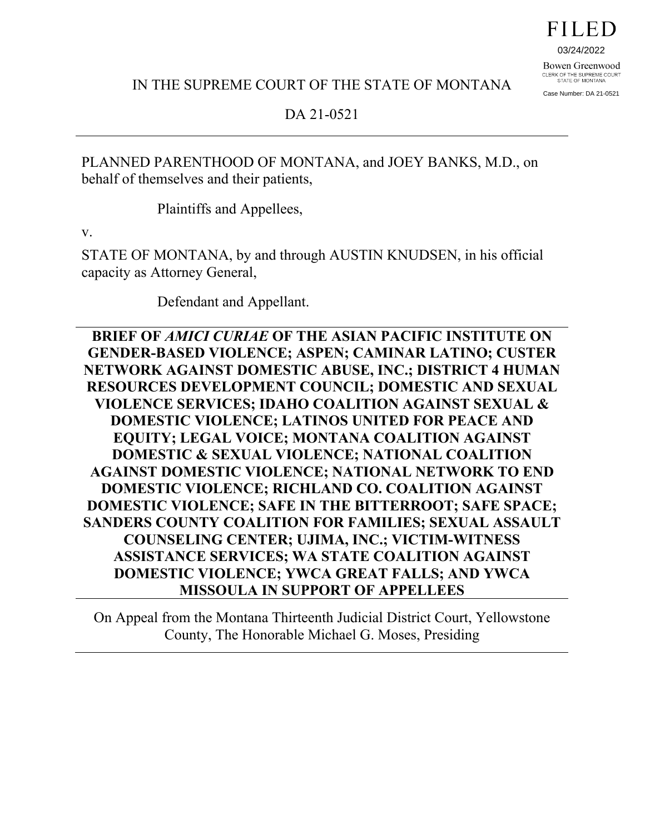03/24/2022

Bowen Greenwood CLERK OF THE SUPREME COURT<br>STATE OF MONTANA Case Number: DA 21-0521

IN THE SUPREME COURT OF THE STATE OF MONTANA

DA 21-0521

PLANNED PARENTHOOD OF MONTANA, and JOEY BANKS, M.D., on behalf of themselves and their patients,

Plaintiffs and Appellees,

v.

STATE OF MONTANA, by and through AUSTIN KNUDSEN, in his official capacity as Attorney General,

Defendant and Appellant.

**BRIEF OF** *AMICI CURIAE* **OF THE ASIAN PACIFIC INSTITUTE ON GENDER-BASED VIOLENCE; ASPEN; CAMINAR LATINO; CUSTER NETWORK AGAINST DOMESTIC ABUSE, INC.; DISTRICT 4 HUMAN RESOURCES DEVELOPMENT COUNCIL; DOMESTIC AND SEXUAL VIOLENCE SERVICES; IDAHO COALITION AGAINST SEXUAL & DOMESTIC VIOLENCE; LATINOS UNITED FOR PEACE AND EQUITY; LEGAL VOICE; MONTANA COALITION AGAINST DOMESTIC & SEXUAL VIOLENCE; NATIONAL COALITION AGAINST DOMESTIC VIOLENCE; NATIONAL NETWORK TO END DOMESTIC VIOLENCE; RICHLAND CO. COALITION AGAINST DOMESTIC VIOLENCE; SAFE IN THE BITTERROOT; SAFE SPACE; SANDERS COUNTY COALITION FOR FAMILIES; SEXUAL ASSAULT COUNSELING CENTER; UJIMA, INC.; VICTIM-WITNESS ASSISTANCE SERVICES; WA STATE COALITION AGAINST DOMESTIC VIOLENCE; YWCA GREAT FALLS; AND YWCA MISSOULA IN SUPPORT OF APPELLEES** 

On Appeal from the Montana Thirteenth Judicial District Court, Yellowstone County, The Honorable Michael G. Moses, Presiding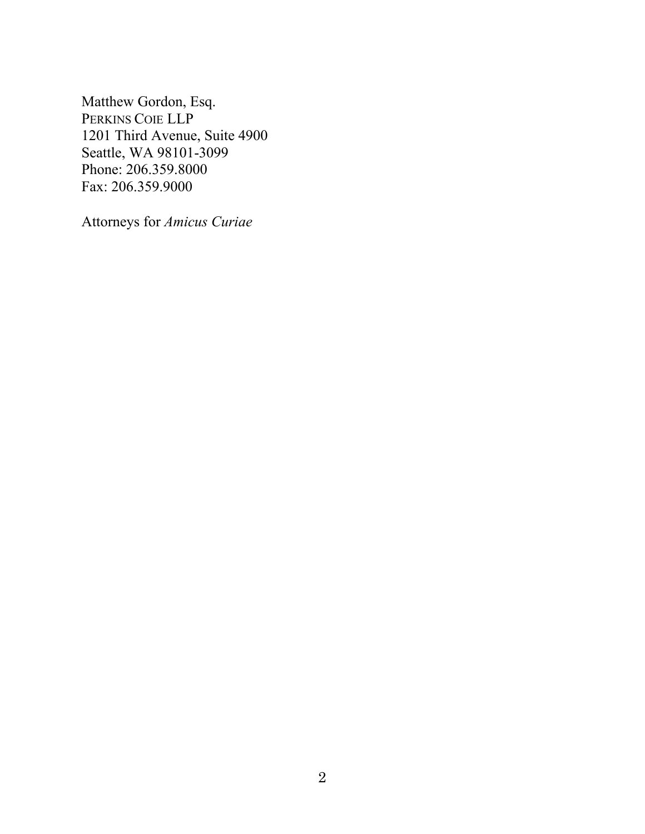Matthew Gordon, Esq. PERKINS COIE LLP 1201 Third Avenue, Suite 4900 Seattle, WA 98101-3099 Phone: 206.359.8000 Fax: 206.359.9000

Attorneys for *Amicus Curiae*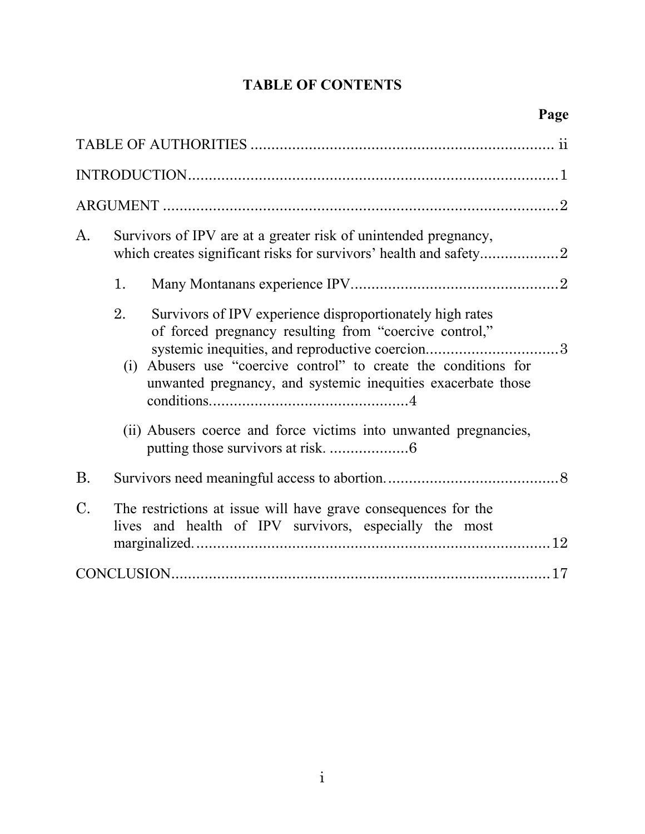# **TABLE OF CONTENTS**

| A.              | Survivors of IPV are at a greater risk of unintended pregnancy,                                                                                                                                                                                                                                                 |
|-----------------|-----------------------------------------------------------------------------------------------------------------------------------------------------------------------------------------------------------------------------------------------------------------------------------------------------------------|
|                 | 1.                                                                                                                                                                                                                                                                                                              |
|                 | Survivors of IPV experience disproportionately high rates<br>2.<br>of forced pregnancy resulting from "coercive control,"<br>systemic inequities, and reproductive coercion3<br>(i) Abusers use "coercive control" to create the conditions for<br>unwanted pregnancy, and systemic inequities exacerbate those |
|                 | (ii) Abusers coerce and force victims into unwanted pregnancies,                                                                                                                                                                                                                                                |
| <b>B.</b>       |                                                                                                                                                                                                                                                                                                                 |
| $\mathcal{C}$ . | The restrictions at issue will have grave consequences for the<br>lives and health of IPV survivors, especially the most                                                                                                                                                                                        |
|                 |                                                                                                                                                                                                                                                                                                                 |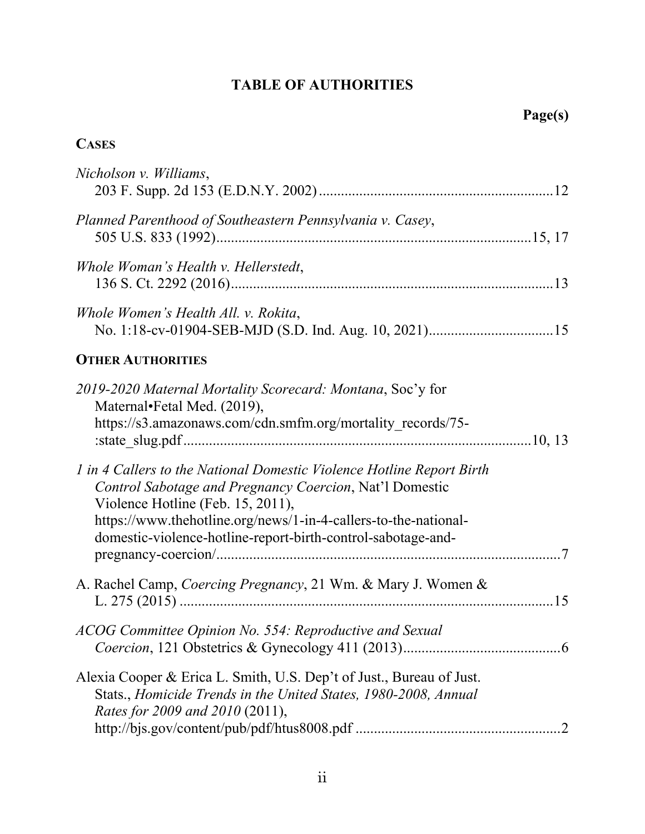## **TABLE OF AUTHORITIES**

## <span id="page-3-0"></span>**CASES**

| Nicholson v. Williams,                                                                                                                                                                                                                                                                                                            |  |
|-----------------------------------------------------------------------------------------------------------------------------------------------------------------------------------------------------------------------------------------------------------------------------------------------------------------------------------|--|
| Planned Parenthood of Southeastern Pennsylvania v. Casey,                                                                                                                                                                                                                                                                         |  |
| Whole Woman's Health v. Hellerstedt,                                                                                                                                                                                                                                                                                              |  |
| Whole Women's Health All. v. Rokita,                                                                                                                                                                                                                                                                                              |  |
| <b>OTHER AUTHORITIES</b>                                                                                                                                                                                                                                                                                                          |  |
| 2019-2020 Maternal Mortality Scorecard: Montana, Soc'y for<br>Maternal•Fetal Med. (2019),<br>https://s3.amazonaws.com/cdn.smfm.org/mortality records/75-<br>1 in 4 Callers to the National Domestic Violence Hotline Report Birth<br>Control Sabotage and Pregnancy Coercion, Nat'l Domestic<br>Violence Hotline (Feb. 15, 2011), |  |
| https://www.thehotline.org/news/1-in-4-callers-to-the-national-<br>domestic-violence-hotline-report-birth-control-sabotage-and-                                                                                                                                                                                                   |  |
| A. Rachel Camp, Coercing Pregnancy, 21 Wm. & Mary J. Women &                                                                                                                                                                                                                                                                      |  |
| ACOG Committee Opinion No. 554: Reproductive and Sexual                                                                                                                                                                                                                                                                           |  |
| Alexia Cooper & Erica L. Smith, U.S. Dep't of Just., Bureau of Just.<br>Stats., Homicide Trends in the United States, 1980-2008, Annual<br>Rates for 2009 and 2010 (2011),                                                                                                                                                        |  |
|                                                                                                                                                                                                                                                                                                                                   |  |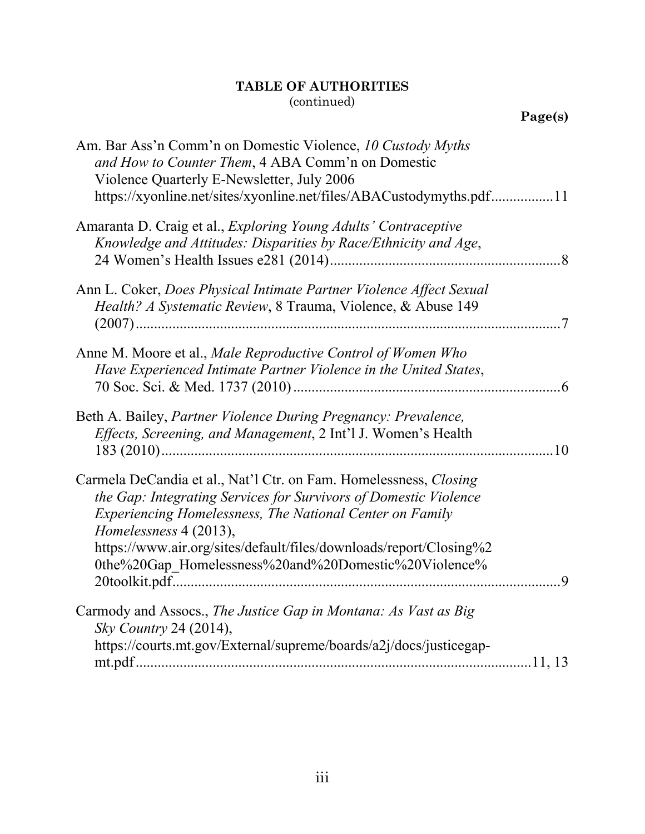| Am. Bar Ass'n Comm'n on Domestic Violence, 10 Custody Myths<br>and How to Counter Them, 4 ABA Comm'n on Domestic<br>Violence Quarterly E-Newsletter, July 2006<br>https://xyonline.net/sites/xyonline.net/files/ABACustodymyths.pdf11 |  |
|---------------------------------------------------------------------------------------------------------------------------------------------------------------------------------------------------------------------------------------|--|
| Amaranta D. Craig et al., <i>Exploring Young Adults' Contraceptive</i><br>Knowledge and Attitudes: Disparities by Race/Ethnicity and Age,                                                                                             |  |
| Ann L. Coker, Does Physical Intimate Partner Violence Affect Sexual<br>Health? A Systematic Review, 8 Trauma, Violence, & Abuse 149                                                                                                   |  |
| Anne M. Moore et al., Male Reproductive Control of Women Who<br>Have Experienced Intimate Partner Violence in the United States,                                                                                                      |  |
| Beth A. Bailey, Partner Violence During Pregnancy: Prevalence,<br>Effects, Screening, and Management, 2 Int'l J. Women's Health                                                                                                       |  |
| Carmela DeCandia et al., Nat'l Ctr. on Fam. Homelessness, Closing<br>the Gap: Integrating Services for Survivors of Domestic Violence<br>Experiencing Homelessness, The National Center on Family<br>Homelessness 4 (2013),           |  |
| https://www.air.org/sites/default/files/downloads/report/Closing%2<br>0the%20Gap_Homelessness%20and%20Domestic%20Violence%                                                                                                            |  |
| Carmody and Assocs., The Justice Gap in Montana: As Vast as Big<br>Sky Country 24 (2014),                                                                                                                                             |  |
| https://courts.mt.gov/External/supreme/boards/a2j/docs/justicegap-                                                                                                                                                                    |  |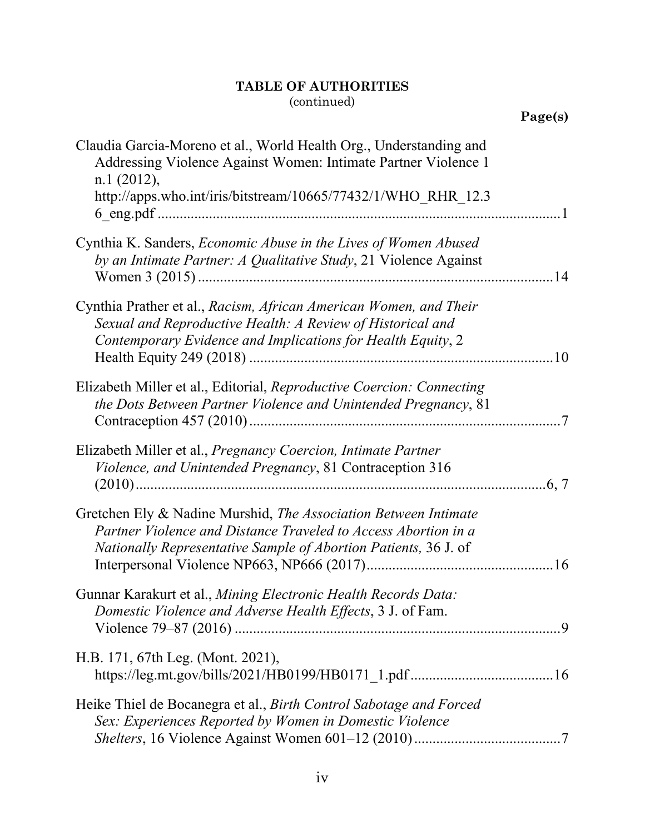|                                                                                                                                                                                                             | Page(s) |
|-------------------------------------------------------------------------------------------------------------------------------------------------------------------------------------------------------------|---------|
| Claudia Garcia-Moreno et al., World Health Org., Understanding and<br>Addressing Violence Against Women: Intimate Partner Violence 1<br>n.1(2012),                                                          |         |
| http://apps.who.int/iris/bitstream/10665/77432/1/WHO RHR 12.3                                                                                                                                               |         |
| Cynthia K. Sanders, <i>Economic Abuse in the Lives of Women Abused</i><br>by an Intimate Partner: A Qualitative Study, 21 Violence Against                                                                  |         |
| Cynthia Prather et al., Racism, African American Women, and Their<br>Sexual and Reproductive Health: A Review of Historical and<br>Contemporary Evidence and Implications for Health Equity, 2              |         |
| Elizabeth Miller et al., Editorial, Reproductive Coercion: Connecting<br>the Dots Between Partner Violence and Unintended Pregnancy, 81                                                                     |         |
| Elizabeth Miller et al., <i>Pregnancy Coercion, Intimate Partner</i><br>Violence, and Unintended Pregnancy, 81 Contraception 316                                                                            |         |
| Gretchen Ely & Nadine Murshid, <i>The Association Between Intimate</i><br>Partner Violence and Distance Traveled to Access Abortion in a<br>Nationally Representative Sample of Abortion Patients, 36 J. of |         |
| Gunnar Karakurt et al., Mining Electronic Health Records Data:<br>Domestic Violence and Adverse Health Effects, 3 J. of Fam.                                                                                |         |
| H.B. 171, 67th Leg. (Mont. 2021),                                                                                                                                                                           |         |
| Heike Thiel de Bocanegra et al., Birth Control Sabotage and Forced<br>Sex: Experiences Reported by Women in Domestic Violence                                                                               |         |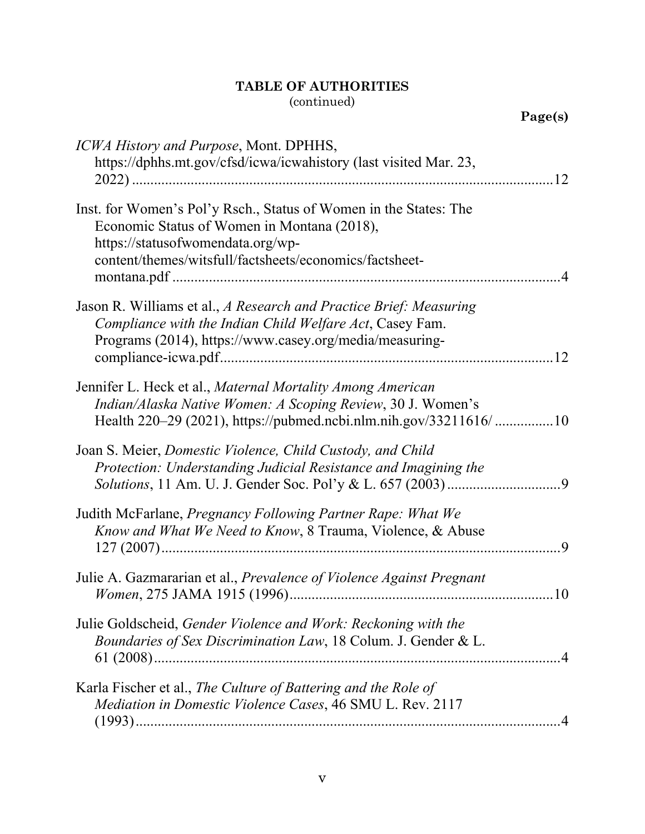**Page(s)**

| ICWA History and Purpose, Mont. DPHHS,<br>https://dphhs.mt.gov/cfsd/icwa/icwahistory (last visited Mar. 23,                                                                                                      |
|------------------------------------------------------------------------------------------------------------------------------------------------------------------------------------------------------------------|
| Inst. for Women's Pol'y Rsch., Status of Women in the States: The<br>Economic Status of Women in Montana (2018),<br>https://statusofwomendata.org/wp-<br>content/themes/witsfull/factsheets/economics/factsheet- |
| Jason R. Williams et al., A Research and Practice Brief: Measuring<br>Compliance with the Indian Child Welfare Act, Casey Fam.<br>Programs (2014), https://www.casey.org/media/measuring-<br>.12                 |
| Jennifer L. Heck et al., Maternal Mortality Among American<br>Indian/Alaska Native Women: A Scoping Review, 30 J. Women's<br>Health 220–29 (2021), https://pubmed.ncbi.nlm.nih.gov/33211616/10                   |
| Joan S. Meier, Domestic Violence, Child Custody, and Child<br>Protection: Understanding Judicial Resistance and Imagining the                                                                                    |
| Judith McFarlane, <i>Pregnancy Following Partner Rape: What We</i><br>Know and What We Need to Know, 8 Trauma, Violence, & Abuse                                                                                 |
| Julie A. Gazmararian et al., Prevalence of Violence Against Pregnant                                                                                                                                             |
| Julie Goldscheid, Gender Violence and Work: Reckoning with the<br>Boundaries of Sex Discrimination Law, 18 Colum. J. Gender & L.                                                                                 |
| Karla Fischer et al., The Culture of Battering and the Role of<br>Mediation in Domestic Violence Cases, 46 SMU L. Rev. 2117                                                                                      |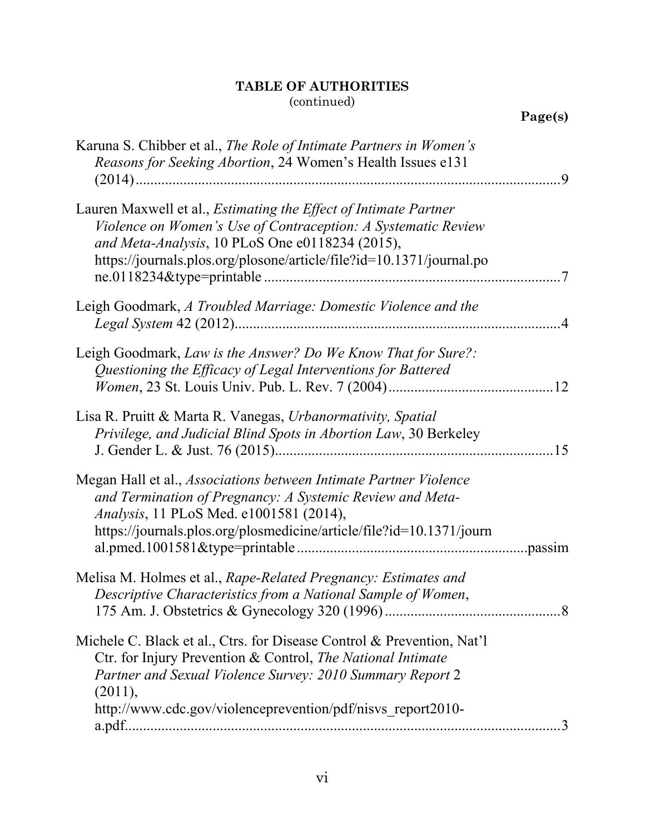| Karuna S. Chibber et al., The Role of Intimate Partners in Women's<br>Reasons for Seeking Abortion, 24 Women's Health Issues e131                                                                                                                                   |  |
|---------------------------------------------------------------------------------------------------------------------------------------------------------------------------------------------------------------------------------------------------------------------|--|
|                                                                                                                                                                                                                                                                     |  |
| Lauren Maxwell et al., <i>Estimating the Effect of Intimate Partner</i><br>Violence on Women's Use of Contraception: A Systematic Review<br>and Meta-Analysis, 10 PLoS One e0118234 (2015),<br>https://journals.plos.org/plosone/article/file?id=10.1371/journal.po |  |
| Leigh Goodmark, A Troubled Marriage: Domestic Violence and the                                                                                                                                                                                                      |  |
| Leigh Goodmark, Law is the Answer? Do We Know That for Sure?:<br>Questioning the Efficacy of Legal Interventions for Battered                                                                                                                                       |  |
| Lisa R. Pruitt & Marta R. Vanegas, Urbanormativity, Spatial<br>Privilege, and Judicial Blind Spots in Abortion Law, 30 Berkeley                                                                                                                                     |  |
| Megan Hall et al., Associations between Intimate Partner Violence<br>and Termination of Pregnancy: A Systemic Review and Meta-<br><i>Analysis</i> , 11 PLoS Med. e1001581 (2014),<br>https://journals.plos.org/plosmedicine/article/file?id=10.1371/journ           |  |
| Melisa M. Holmes et al., Rape-Related Pregnancy: Estimates and<br>Descriptive Characteristics from a National Sample of Women,                                                                                                                                      |  |
| Michele C. Black et al., Ctrs. for Disease Control & Prevention, Nat'l<br>Ctr. for Injury Prevention & Control, The National Intimate<br>Partner and Sexual Violence Survey: 2010 Summary Report 2<br>(2011),                                                       |  |
| http://www.cdc.gov/violenceprevention/pdf/nisvs report2010-                                                                                                                                                                                                         |  |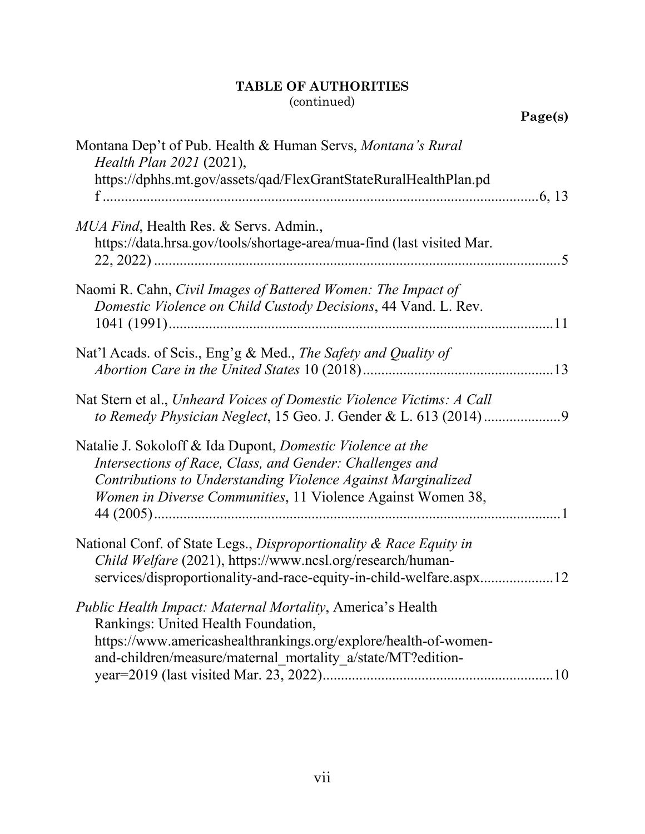| Montana Dep't of Pub. Health & Human Servs, Montana's Rural<br>Health Plan 2021 (2021),<br>https://dphhs.mt.gov/assets/qad/FlexGrantStateRuralHealthPlan.pd                                                                                           |
|-------------------------------------------------------------------------------------------------------------------------------------------------------------------------------------------------------------------------------------------------------|
| MUA Find, Health Res. & Servs. Admin.,<br>https://data.hrsa.gov/tools/shortage-area/mua-find (last visited Mar.                                                                                                                                       |
| Naomi R. Cahn, Civil Images of Battered Women: The Impact of<br>Domestic Violence on Child Custody Decisions, 44 Vand. L. Rev.                                                                                                                        |
| Nat'l Acads. of Scis., Eng'g & Med., The Safety and Quality of                                                                                                                                                                                        |
| Nat Stern et al., Unheard Voices of Domestic Violence Victims: A Call                                                                                                                                                                                 |
| Natalie J. Sokoloff & Ida Dupont, Domestic Violence at the<br>Intersections of Race, Class, and Gender: Challenges and<br>Contributions to Understanding Violence Against Marginalized<br>Women in Diverse Communities, 11 Violence Against Women 38, |
| National Conf. of State Legs., Disproportionality & Race Equity in<br>Child Welfare (2021), https://www.ncsl.org/research/human-<br>services/disproportionality-and-race-equity-in-child-welfare.aspx12                                               |
| <i>Public Health Impact: Maternal Mortality, America's Health</i><br>Rankings: United Health Foundation,<br>https://www.americashealthrankings.org/explore/health-of-women-<br>and-children/measure/maternal mortality a/state/MT?edition-            |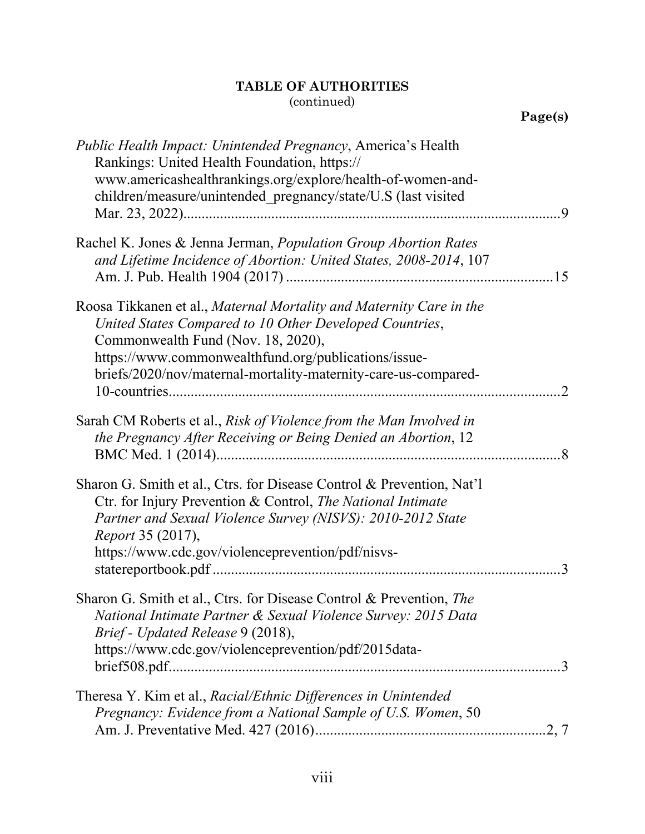| <b>Public Health Impact: Unintended Pregnancy, America's Health</b><br>Rankings: United Health Foundation, https://<br>www.americashealthrankings.org/explore/health-of-women-and-<br>children/measure/unintended_pregnancy/state/U.S (last visited<br>$\cdot$ 9                                     |  |
|------------------------------------------------------------------------------------------------------------------------------------------------------------------------------------------------------------------------------------------------------------------------------------------------------|--|
| Rachel K. Jones & Jenna Jerman, Population Group Abortion Rates<br>and Lifetime Incidence of Abortion: United States, 2008-2014, 107<br>15                                                                                                                                                           |  |
| Roosa Tikkanen et al., Maternal Mortality and Maternity Care in the<br>United States Compared to 10 Other Developed Countries,<br>Commonwealth Fund (Nov. 18, 2020),<br>https://www.commonwealthfund.org/publications/issue-<br>briefs/2020/nov/maternal-mortality-maternity-care-us-compared-<br>.2 |  |
| Sarah CM Roberts et al., Risk of Violence from the Man Involved in<br>the Pregnancy After Receiving or Being Denied an Abortion, 12<br>$\cdot$ <sup>8</sup>                                                                                                                                          |  |
| Sharon G. Smith et al., Ctrs. for Disease Control & Prevention, Nat'l<br>Ctr. for Injury Prevention & Control, The National Intimate<br>Partner and Sexual Violence Survey (NISVS): 2010-2012 State<br>Report 35 (2017),<br>https://www.cdc.gov/violenceprevention/pdf/nisvs-<br>$\mathcal{R}$       |  |
| Sharon G. Smith et al., Ctrs. for Disease Control & Prevention, The<br>National Intimate Partner & Sexual Violence Survey: 2015 Data<br>Brief - Updated Release 9 (2018),<br>https://www.cdc.gov/violenceprevention/pdf/2015data-                                                                    |  |
| Theresa Y. Kim et al., Racial/Ethnic Differences in Unintended<br>Pregnancy: Evidence from a National Sample of U.S. Women, 50                                                                                                                                                                       |  |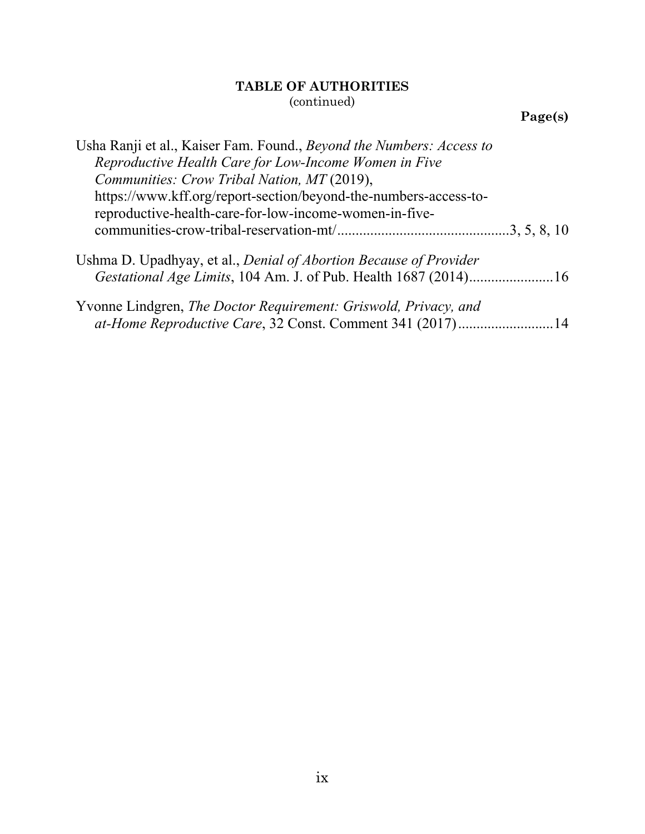**Page(s)**

| Usha Ranji et al., Kaiser Fam. Found., Beyond the Numbers: Access to                                                         |
|------------------------------------------------------------------------------------------------------------------------------|
| Reproductive Health Care for Low-Income Women in Five                                                                        |
| Communities: Crow Tribal Nation, MT (2019),                                                                                  |
| https://www.kff.org/report-section/beyond-the-numbers-access-to-                                                             |
| reproductive-health-care-for-low-income-women-in-five-                                                                       |
|                                                                                                                              |
| Ushma D. Upadhyay, et al., Denial of Abortion Because of Provider                                                            |
|                                                                                                                              |
| Yvonne Lindgren, The Doctor Requirement: Griswold, Privacy, and<br>at-Home Reproductive Care, 32 Const. Comment 341 (2017)14 |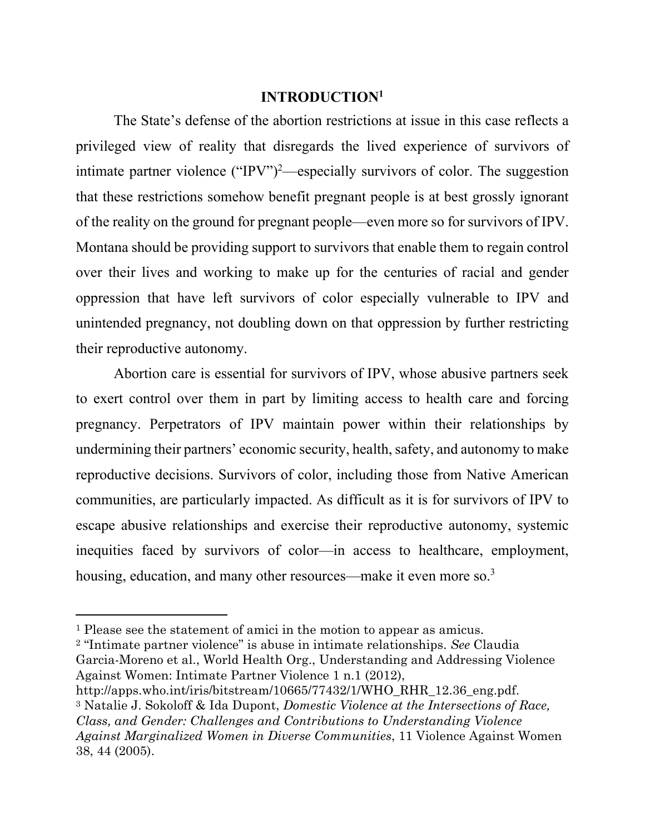#### **INTRODUCTION<sup>1</sup>**

<span id="page-11-0"></span>The State's defense of the abortion restrictions at issue in this case reflects a privileged view of reality that disregards the lived experience of survivors of intimate partner violence ("IPV")<sup>2</sup>—especially survivors of color. The suggestion that these restrictions somehow benefit pregnant people is at best grossly ignorant of the reality on the ground for pregnant people—even more so for survivors of IPV. Montana should be providing support to survivors that enable them to regain control over their lives and working to make up for the centuries of racial and gender oppression that have left survivors of color especially vulnerable to IPV and unintended pregnancy, not doubling down on that oppression by further restricting their reproductive autonomy.

Abortion care is essential for survivors of IPV, whose abusive partners seek to exert control over them in part by limiting access to health care and forcing pregnancy. Perpetrators of IPV maintain power within their relationships by undermining their partners' economic security, health, safety, and autonomy to make reproductive decisions. Survivors of color, including those from Native American communities, are particularly impacted. As difficult as it is for survivors of IPV to escape abusive relationships and exercise their reproductive autonomy, systemic inequities faced by survivors of color—in access to healthcare, employment, housing, education, and many other resources—make it even more so.<sup>3</sup>

<sup>2</sup> "Intimate partner violence" is abuse in intimate relationships. *See* Claudia Garcia-Moreno et al., World Health Org., Understanding and Addressing Violence Against Women: Intimate Partner Violence 1 n.1 (2012), http://apps.who.int/iris/bitstream/10665/77432/1/WHO\_RHR\_12.36\_eng.pdf.

<sup>3</sup> Natalie J. Sokoloff & Ida Dupont, *Domestic Violence at the Intersections of Race, Class, and Gender: Challenges and Contributions to Understanding Violence Against Marginalized Women in Diverse Communities*, 11 Violence Against Women 38, 44 (2005).

<sup>1</sup> Please see the statement of amici in the motion to appear as amicus.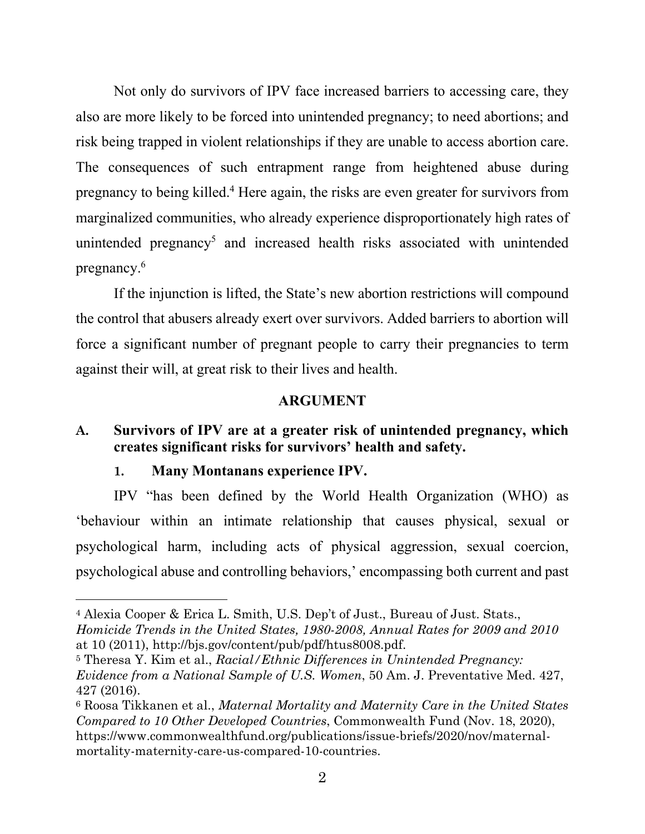Not only do survivors of IPV face increased barriers to accessing care, they also are more likely to be forced into unintended pregnancy; to need abortions; and risk being trapped in violent relationships if they are unable to access abortion care. The consequences of such entrapment range from heightened abuse during pregnancy to being killed.<sup>4</sup> Here again, the risks are even greater for survivors from marginalized communities, who already experience disproportionately high rates of unintended pregnancy<sup>5</sup> and increased health risks associated with unintended pregnancy.<sup>6</sup>

If the injunction is lifted, the State's new abortion restrictions will compound the control that abusers already exert over survivors. Added barriers to abortion will force a significant number of pregnant people to carry their pregnancies to term against their will, at great risk to their lives and health.

#### <span id="page-12-2"></span><span id="page-12-0"></span>**ARGUMENT**

## **A. Survivors of IPV are at a greater risk of unintended pregnancy, which creates significant risks for survivors' health and safety.**

#### <span id="page-12-1"></span>**1. Many Montanans experience IPV.**

IPV "has been defined by the World Health Organization (WHO) as 'behaviour within an intimate relationship that causes physical, sexual or psychological harm, including acts of physical aggression, sexual coercion, psychological abuse and controlling behaviors,' encompassing both current and past

<sup>4</sup> Alexia Cooper & Erica L. Smith, U.S. Dep't of Just., Bureau of Just. Stats., *Homicide Trends in the United States, 1980-2008, Annual Rates for 2009 and 2010*

at 10 (2011), http://bjs.gov/content/pub/pdf/htus8008.pdf.

<sup>5</sup> Theresa Y. Kim et al., *Racial/Ethnic Differences in Unintended Pregnancy: Evidence from a National Sample of U.S. Women*, 50 Am. J. Preventative Med. 427, 427 (2016).

<sup>6</sup> Roosa Tikkanen et al., *Maternal Mortality and Maternity Care in the United States Compared to 10 Other Developed Countries*, Commonwealth Fund (Nov. 18, 2020), https://www.commonwealthfund.org/publications/issue-briefs/2020/nov/maternalmortality-maternity-care-us-compared-10-countries.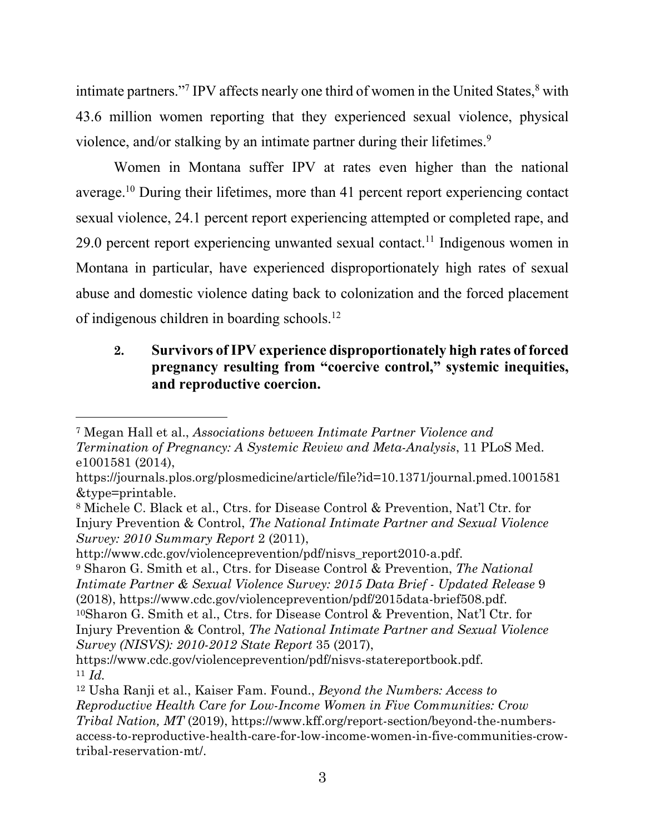intimate partners."<sup>7</sup> IPV affects nearly one third of women in the United States, <sup>8</sup> with 43.6 million women reporting that they experienced sexual violence, physical violence, and/or stalking by an intimate partner during their lifetimes.<sup>9</sup>

Women in Montana suffer IPV at rates even higher than the national average.<sup>10</sup> During their lifetimes, more than 41 percent report experiencing contact sexual violence, 24.1 percent report experiencing attempted or completed rape, and 29.0 percent report experiencing unwanted sexual contact.<sup>11</sup> Indigenous women in Montana in particular, have experienced disproportionately high rates of sexual abuse and domestic violence dating back to colonization and the forced placement of indigenous children in boarding schools.<sup>12</sup>

## <span id="page-13-0"></span>**2. Survivors of IPV experience disproportionately high rates of forced pregnancy resulting from "coercive control," systemic inequities, and reproductive coercion.**

http://www.cdc.gov/violenceprevention/pdf/nisvs\_report2010-a.pdf. <sup>9</sup> Sharon G. Smith et al., Ctrs. for Disease Control & Prevention, *The National Intimate Partner & Sexual Violence Survey: 2015 Data Brief - Updated Release* 9 (2018), https://www.cdc.gov/violenceprevention/pdf/2015data-brief508.pdf.

<sup>10</sup>Sharon G. Smith et al., Ctrs. for Disease Control & Prevention, Nat'l Ctr. for Injury Prevention & Control, *The National Intimate Partner and Sexual Violence Survey (NISVS): 2010-2012 State Report* 35 (2017),

<sup>7</sup> Megan Hall et al., *Associations between Intimate Partner Violence and Termination of Pregnancy: A Systemic Review and Meta-Analysis*, 11 PLoS Med. e1001581 (2014),

https://journals.plos.org/plosmedicine/article/file?id=10.1371/journal.pmed.1001581 &type=printable.

<sup>8</sup> Michele C. Black et al., Ctrs. for Disease Control & Prevention, Nat'l Ctr. for Injury Prevention & Control, *The National Intimate Partner and Sexual Violence Survey: 2010 Summary Report* 2 (2011),

https://www.cdc.gov/violenceprevention/pdf/nisvs-statereportbook.pdf. <sup>11</sup> *Id.*

<sup>12</sup> Usha Ranji et al., Kaiser Fam. Found., *Beyond the Numbers: Access to Reproductive Health Care for Low-Income Women in Five Communities: Crow Tribal Nation, MT* (2019), https://www.kff.org/report-section/beyond-the-numbersaccess-to-reproductive-health-care-for-low-income-women-in-five-communities-crowtribal-reservation-mt/.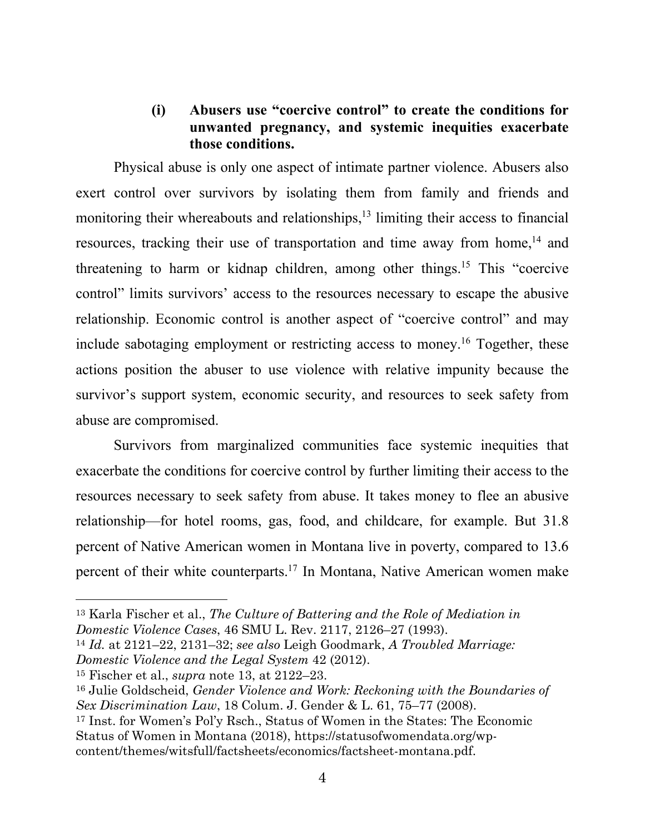### <span id="page-14-0"></span>**(i) Abusers use "coercive control" to create the conditions for unwanted pregnancy, and systemic inequities exacerbate those conditions.**

Physical abuse is only one aspect of intimate partner violence. Abusers also exert control over survivors by isolating them from family and friends and monitoring their whereabouts and relationships,<sup>13</sup> limiting their access to financial resources, tracking their use of transportation and time away from home,<sup>14</sup> and threatening to harm or kidnap children, among other things. <sup>15</sup> This "coercive control" limits survivors' access to the resources necessary to escape the abusive relationship. Economic control is another aspect of "coercive control" and may include sabotaging employment or restricting access to money.<sup>16</sup> Together, these actions position the abuser to use violence with relative impunity because the survivor's support system, economic security, and resources to seek safety from abuse are compromised.

Survivors from marginalized communities face systemic inequities that exacerbate the conditions for coercive control by further limiting their access to the resources necessary to seek safety from abuse. It takes money to flee an abusive relationship—for hotel rooms, gas, food, and childcare, for example. But 31.8 percent of Native American women in Montana live in poverty, compared to 13.6 percent of their white counterparts.<sup>17</sup> In Montana, Native American women make

<sup>13</sup> Karla Fischer et al., *The Culture of Battering and the Role of Mediation in Domestic Violence Cases*, 46 SMU L. Rev. 2117, 2126–27 (1993).

<sup>14</sup> *Id.* at 2121–22, 2131–32; *see also* Leigh Goodmark, *A Troubled Marriage: Domestic Violence and the Legal System* 42 (2012).

<sup>15</sup> Fischer et al., *supra* note 13, at 2122–23.

<sup>16</sup> Julie Goldscheid, *Gender Violence and Work: Reckoning with the Boundaries of Sex Discrimination Law*, 18 Colum. J. Gender & L. 61, 75–77 (2008).

<sup>17</sup> Inst. for Women's Pol'y Rsch., Status of Women in the States: The Economic Status of Women in Montana (2018), https://statusofwomendata.org/wpcontent/themes/witsfull/factsheets/economics/factsheet-montana.pdf.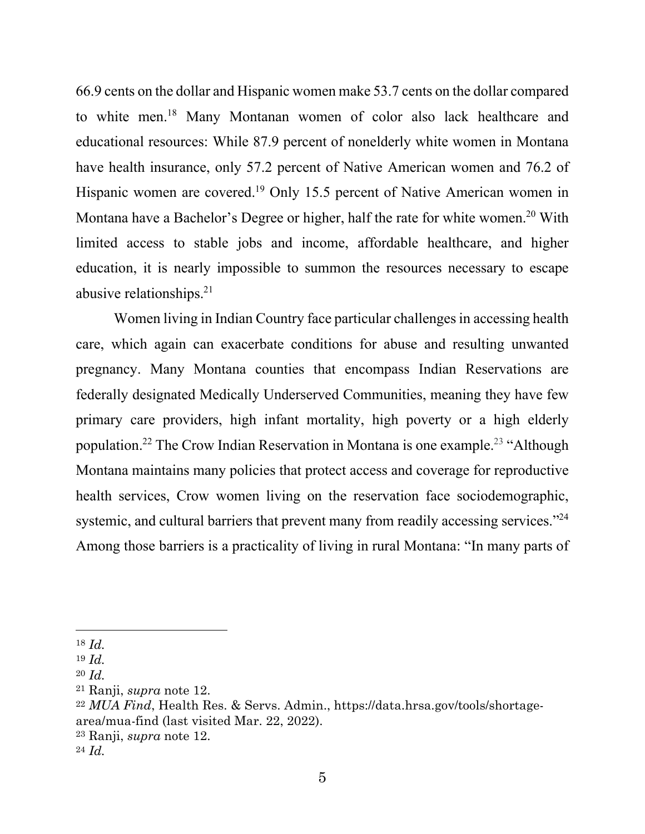66.9 cents on the dollar and Hispanic women make 53.7 cents on the dollar compared to white men. <sup>18</sup> Many Montanan women of color also lack healthcare and educational resources: While 87.9 percent of nonelderly white women in Montana have health insurance, only 57.2 percent of Native American women and 76.2 of Hispanic women are covered.<sup>19</sup> Only 15.5 percent of Native American women in Montana have a Bachelor's Degree or higher, half the rate for white women.<sup>20</sup> With limited access to stable jobs and income, affordable healthcare, and higher education, it is nearly impossible to summon the resources necessary to escape abusive relationships.<sup>21</sup>

Women living in Indian Country face particular challenges in accessing health care, which again can exacerbate conditions for abuse and resulting unwanted pregnancy. Many Montana counties that encompass Indian Reservations are federally designated Medically Underserved Communities, meaning they have few primary care providers, high infant mortality, high poverty or a high elderly population.<sup>22</sup> The Crow Indian Reservation in Montana is one example.<sup>23</sup> "Although Montana maintains many policies that protect access and coverage for reproductive health services, Crow women living on the reservation face sociodemographic, systemic, and cultural barriers that prevent many from readily accessing services."<sup>24</sup> Among those barriers is a practicality of living in rural Montana: "In many parts of

<sup>18</sup> *Id.*

<sup>19</sup> *Id.*

<sup>20</sup> *Id.*

<sup>21</sup> Ranji, *supra* note 12.

<sup>22</sup> *MUA Find*, Health Res. & Servs. Admin., https://data.hrsa.gov/tools/shortagearea/mua-find (last visited Mar. 22, 2022).

<sup>23</sup> Ranji, *supra* note 12.

<sup>24</sup> *Id.*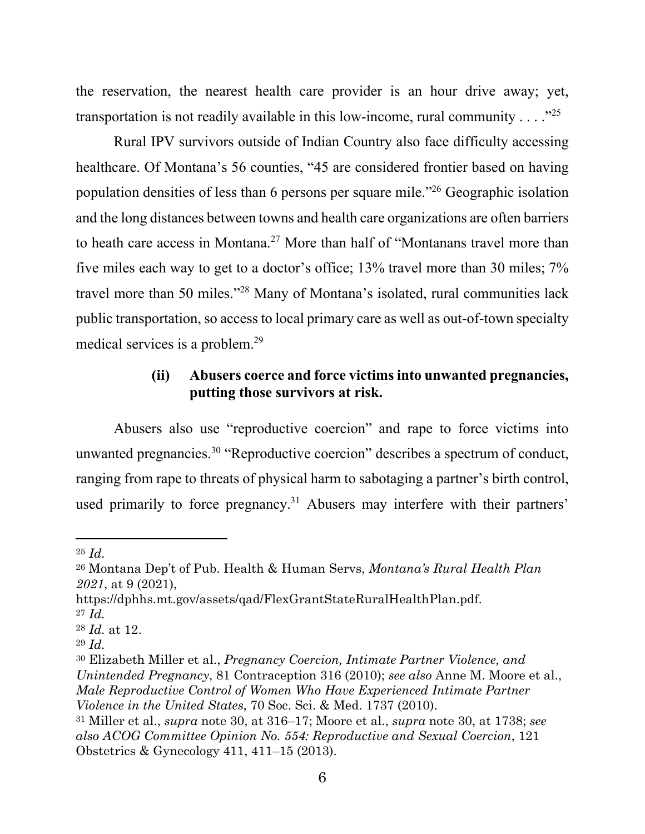the reservation, the nearest health care provider is an hour drive away; yet, transportation is not readily available in this low-income, rural community . . . ."<sup>25</sup>

Rural IPV survivors outside of Indian Country also face difficulty accessing healthcare. Of Montana's 56 counties, "45 are considered frontier based on having population densities of less than 6 persons per square mile."<sup>26</sup> Geographic isolation and the long distances between towns and health care organizations are often barriers to heath care access in Montana. <sup>27</sup> More than half of "Montanans travel more than five miles each way to get to a doctor's office; 13% travel more than 30 miles; 7% travel more than 50 miles."<sup>28</sup> Many of Montana's isolated, rural communities lack public transportation, so access to local primary care as well as out-of-town specialty medical services is a problem.<sup>29</sup>

## <span id="page-16-0"></span>**(ii) Abusers coerce and force victims into unwanted pregnancies, putting those survivors at risk.**

Abusers also use "reproductive coercion" and rape to force victims into unwanted pregnancies.<sup>30</sup> "Reproductive coercion" describes a spectrum of conduct, ranging from rape to threats of physical harm to sabotaging a partner's birth control, used primarily to force pregnancy.<sup>31</sup> Abusers may interfere with their partners'

<sup>25</sup> *Id.*

<sup>26</sup> Montana Dep't of Pub. Health & Human Servs, *Montana's Rural Health Plan 2021*, at 9 (2021),

https://dphhs.mt.gov/assets/qad/FlexGrantStateRuralHealthPlan.pdf.

<sup>27</sup> *Id.*

<sup>28</sup> *Id.* at 12.

<sup>29</sup> *Id.*

<sup>30</sup> Elizabeth Miller et al., *Pregnancy Coercion, Intimate Partner Violence, and Unintended Pregnancy*, 81 Contraception 316 (2010); *see also* Anne M. Moore et al., *Male Reproductive Control of Women Who Have Experienced Intimate Partner Violence in the United States*, 70 Soc. Sci. & Med. 1737 (2010).

<sup>31</sup> Miller et al., *supra* note 30, at 316–17; Moore et al., *supra* note 30, at 1738; *see also ACOG Committee Opinion No. 554: Reproductive and Sexual Coercion*, 121 Obstetrics & Gynecology 411, 411–15 (2013).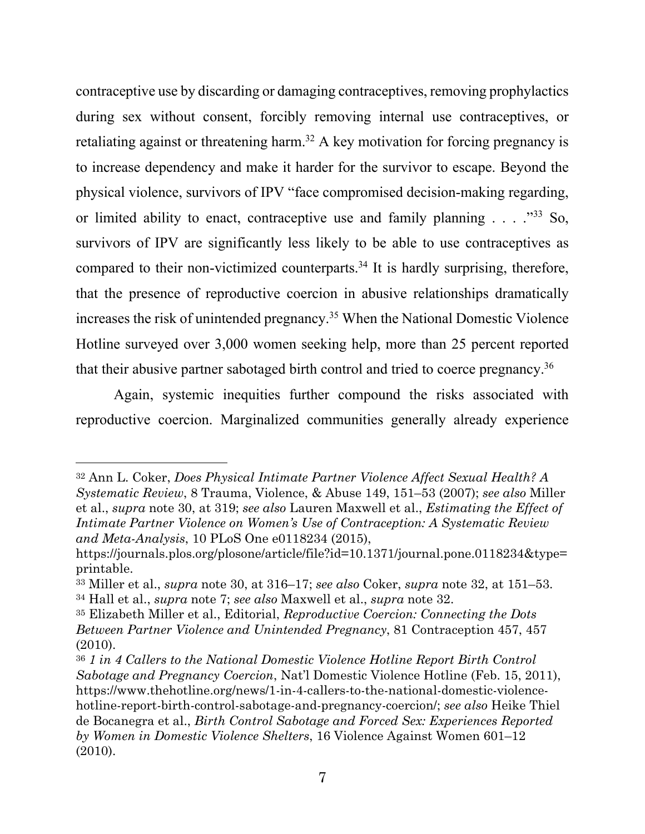contraceptive use by discarding or damaging contraceptives, removing prophylactics during sex without consent, forcibly removing internal use contraceptives, or retaliating against or threatening harm.<sup>32</sup> A key motivation for forcing pregnancy is to increase dependency and make it harder for the survivor to escape. Beyond the physical violence, survivors of IPV "face compromised decision-making regarding, or limited ability to enact, contraceptive use and family planning . . . . "33 So, survivors of IPV are significantly less likely to be able to use contraceptives as compared to their non-victimized counterparts.<sup>34</sup> It is hardly surprising, therefore, that the presence of reproductive coercion in abusive relationships dramatically increases the risk of unintended pregnancy.<sup>35</sup> When the National Domestic Violence Hotline surveyed over 3,000 women seeking help, more than 25 percent reported that their abusive partner sabotaged birth control and tried to coerce pregnancy.<sup>36</sup>

Again, systemic inequities further compound the risks associated with reproductive coercion. Marginalized communities generally already experience

<sup>32</sup> Ann L. Coker, *Does Physical Intimate Partner Violence Affect Sexual Health? A Systematic Review*, 8 Trauma, Violence, & Abuse 149, 151–53 (2007); *see also* Miller et al., *supra* note 30, at 319; *see also* Lauren Maxwell et al., *Estimating the Effect of Intimate Partner Violence on Women's Use of Contraception: A Systematic Review and Meta-Analysis*, 10 PLoS One e0118234 (2015),

https://journals.plos.org/plosone/article/file?id=10.1371/journal.pone.0118234&type= printable.

<sup>33</sup> Miller et al., *supra* note 30, at 316–17; *see also* Coker, *supra* note 32, at 151–53. <sup>34</sup> Hall et al., *supra* note 7; *see also* Maxwell et al., *supra* note 32.

<sup>35</sup> Elizabeth Miller et al., Editorial, *Reproductive Coercion: Connecting the Dots Between Partner Violence and Unintended Pregnancy*, 81 Contraception 457, 457 (2010).

<sup>36</sup> *1 in 4 Callers to the National Domestic Violence Hotline Report Birth Control Sabotage and Pregnancy Coercion*, Nat'l Domestic Violence Hotline (Feb. 15, 2011), https://www.thehotline.org/news/1-in-4-callers-to-the-national-domestic-violencehotline-report-birth-control-sabotage-and-pregnancy-coercion/; *see also* Heike Thiel de Bocanegra et al., *Birth Control Sabotage and Forced Sex: Experiences Reported by Women in Domestic Violence Shelters*, 16 Violence Against Women 601–12 (2010).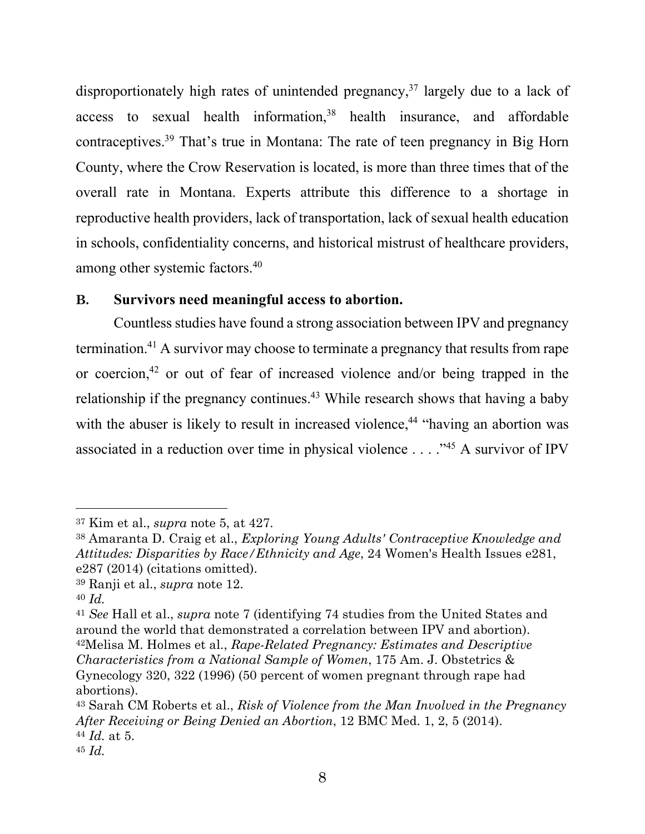disproportionately high rates of unintended pregnancy, $37$  largely due to a lack of access to sexual health information, $38$  health insurance, and affordable contraceptives.<sup>39</sup> That's true in Montana: The rate of teen pregnancy in Big Horn County, where the Crow Reservation is located, is more than three times that of the overall rate in Montana. Experts attribute this difference to a shortage in reproductive health providers, lack of transportation, lack of sexual health education in schools, confidentiality concerns, and historical mistrust of healthcare providers, among other systemic factors. 40

#### <span id="page-18-0"></span>**B. Survivors need meaningful access to abortion.**

Countless studies have found a strong association between IPV and pregnancy termination.<sup>41</sup> A survivor may choose to terminate a pregnancy that results from rape or coercion, <sup>42</sup> or out of fear of increased violence and/or being trapped in the relationship if the pregnancy continues.<sup>43</sup> While research shows that having a baby with the abuser is likely to result in increased violence,<sup>44</sup> "having an abortion was associated in a reduction over time in physical violence . . . ."<sup>45</sup> A survivor of IPV

<sup>37</sup> Kim et al., *supra* note 5, at 427.

<sup>38</sup> Amaranta D. Craig et al., *Exploring Young Adults' Contraceptive Knowledge and Attitudes: Disparities by Race/Ethnicity and Age*, 24 Women's Health Issues e281, e287 (2014) (citations omitted).

<sup>39</sup> Ranji et al., *supra* note 12.

<sup>40</sup> *Id.*

<sup>41</sup> *See* Hall et al., *supra* note 7 (identifying 74 studies from the United States and around the world that demonstrated a correlation between IPV and abortion). <sup>42</sup>Melisa M. Holmes et al., *Rape-Related Pregnancy: Estimates and Descriptive Characteristics from a National Sample of Women*, 175 Am. J. Obstetrics & Gynecology 320, 322 (1996) (50 percent of women pregnant through rape had abortions).

<sup>43</sup> Sarah CM Roberts et al., *Risk of Violence from the Man Involved in the Pregnancy After Receiving or Being Denied an Abortion*, 12 BMC Med. 1, 2, 5 (2014). <sup>44</sup> *Id.* at 5.

<sup>45</sup> *Id.*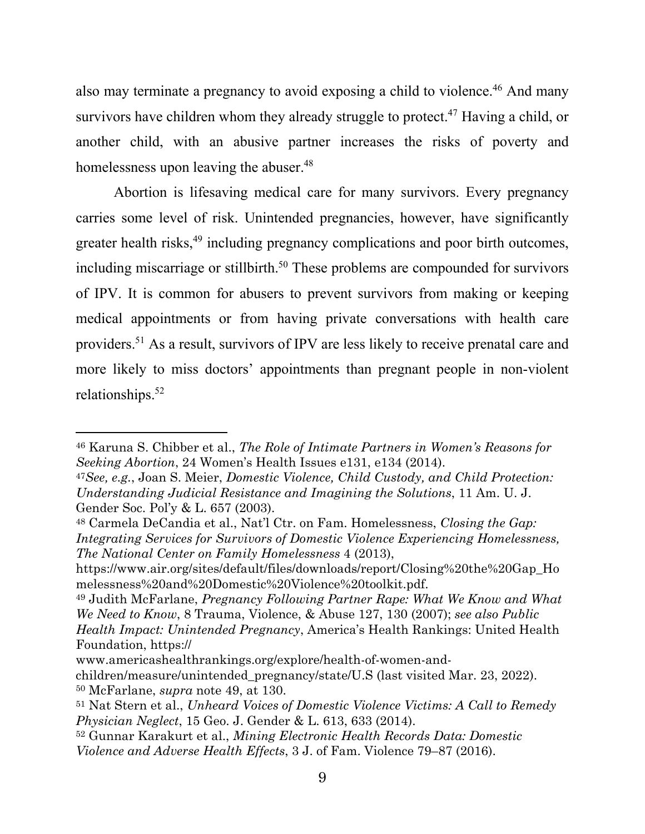also may terminate a pregnancy to avoid exposing a child to violence.<sup>46</sup> And many survivors have children whom they already struggle to protect.<sup>47</sup> Having a child, or another child, with an abusive partner increases the risks of poverty and homelessness upon leaving the abuser.<sup>48</sup>

Abortion is lifesaving medical care for many survivors. Every pregnancy carries some level of risk. Unintended pregnancies, however, have significantly greater health risks,<sup>49</sup> including pregnancy complications and poor birth outcomes, including miscarriage or stillbirth.<sup>50</sup> These problems are compounded for survivors of IPV. It is common for abusers to prevent survivors from making or keeping medical appointments or from having private conversations with health care providers.<sup>51</sup> As a result, survivors of IPV are less likely to receive prenatal care and more likely to miss doctors' appointments than pregnant people in non-violent relationships.<sup>52</sup>

<sup>46</sup> Karuna S. Chibber et al., *The Role of Intimate Partners in Women's Reasons for Seeking Abortion*, 24 Women's Health Issues e131, e134 (2014).

<sup>47</sup>*See, e.g.*, Joan S. Meier, *Domestic Violence, Child Custody, and Child Protection: Understanding Judicial Resistance and Imagining the Solutions*, 11 Am. U. J. Gender Soc. Pol'y & L. 657 (2003).

<sup>48</sup> Carmela DeCandia et al., Nat'l Ctr. on Fam. Homelessness, *Closing the Gap: Integrating Services for Survivors of Domestic Violence Experiencing Homelessness, The National Center on Family Homelessness* 4 (2013),

https://www.air.org/sites/default/files/downloads/report/Closing%20the%20Gap\_Ho melessness%20and%20Domestic%20Violence%20toolkit.pdf.

<sup>49</sup> Judith McFarlane, *Pregnancy Following Partner Rape: What We Know and What We Need to Know*, 8 Trauma, Violence, & Abuse 127, 130 (2007); *see also Public Health Impact: Unintended Pregnancy*, America's Health Rankings: United Health Foundation, https://

www.americashealthrankings.org/explore/health-of-women-andchildren/measure/unintended\_pregnancy/state/U.S (last visited Mar. 23, 2022). <sup>50</sup> McFarlane, *supra* note 49, at 130.

<sup>51</sup> Nat Stern et al., *Unheard Voices of Domestic Violence Victims: A Call to Remedy Physician Neglect*, 15 Geo. J. Gender & L. 613, 633 (2014).

<sup>52</sup> Gunnar Karakurt et al., *Mining Electronic Health Records Data: Domestic Violence and Adverse Health Effects*, 3 J. of Fam. Violence 79–87 (2016).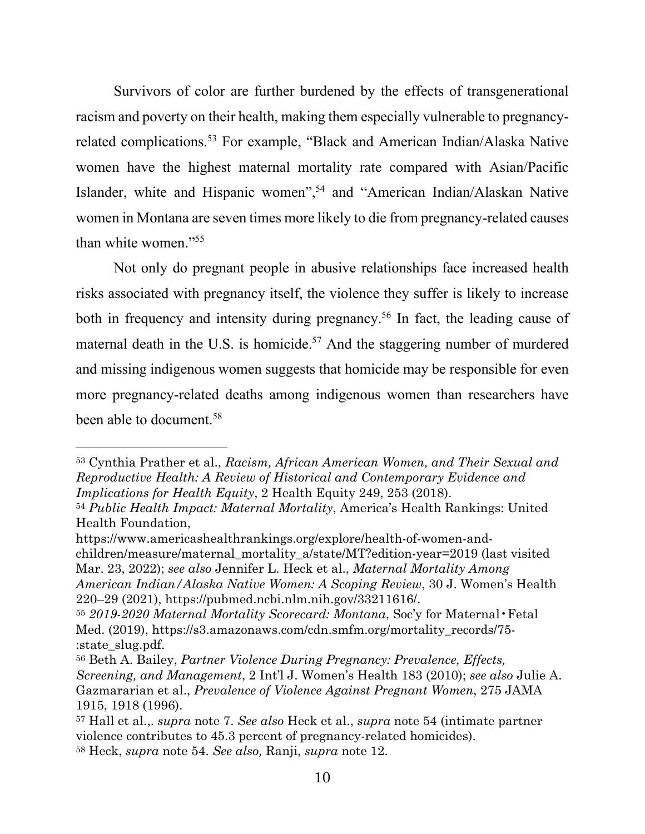Survivors of color are further burdened by the effects of transgenerational racism and poverty on their health, making them especially vulnerable to pregnancyrelated complications.<sup>53</sup> For example, "Black and American Indian/Alaska Native women have the highest maternal mortality rate compared with Asian/Pacific Islander, white and Hispanic women", <sup>54</sup> and "American Indian/Alaskan Native women in Montana are seven times more likely to die from pregnancy-related causes than white women."<sup>55</sup>

Not only do pregnant people in abusive relationships face increased health risks associated with pregnancy itself, the violence they suffer is likely to increase both in frequency and intensity during pregnancy.<sup>56</sup> In fact, the leading cause of maternal death in the U.S. is homicide.<sup>57</sup> And the staggering number of murdered and missing indigenous women suggests that homicide may be responsible for even more pregnancy-related deaths among indigenous women than researchers have been able to document.<sup>58</sup>

https://www.americashealthrankings.org/explore/health-of-women-andchildren/measure/maternal\_mortality\_a/state/MT?edition-year=2019 (last visited Mar. 23, 2022); *see also* Jennifer L. Heck et al., *Maternal Mortality Among American Indian/Alaska Native Women: A Scoping Review*, 30 J. Women's Health 220–29 (2021), https://pubmed.ncbi.nlm.nih.gov/33211616/.

<sup>53</sup> Cynthia Prather et al., *Racism, African American Women, and Their Sexual and Reproductive Health: A Review of Historical and Contemporary Evidence and Implications for Health Equity*, 2 Health Equity 249, 253 (2018).

<sup>54</sup> *Public Health Impact: Maternal Mortality*, America's Health Rankings: United Health Foundation,

<sup>55</sup> *2019-2020 Maternal Mortality Scorecard: Montana*, Soc'y for Maternal•Fetal Med. (2019), https://s3.amazonaws.com/cdn.smfm.org/mortality\_records/75- :state\_slug.pdf.

<sup>56</sup> Beth A. Bailey, *Partner Violence During Pregnancy: Prevalence, Effects, Screening, and Management*, 2 Int'l J. Women's Health 183 (2010); *see also* Julie A. Gazmararian et al., *Prevalence of Violence Against Pregnant Women*, 275 JAMA 1915, 1918 (1996).

<sup>57</sup> Hall et al.,. *supra* note 7. *See also* Heck et al., *supra* note 54 (intimate partner violence contributes to 45.3 percent of pregnancy-related homicides). <sup>58</sup> Heck, *supra* note 54. *See also,* Ranji, *supra* note 12.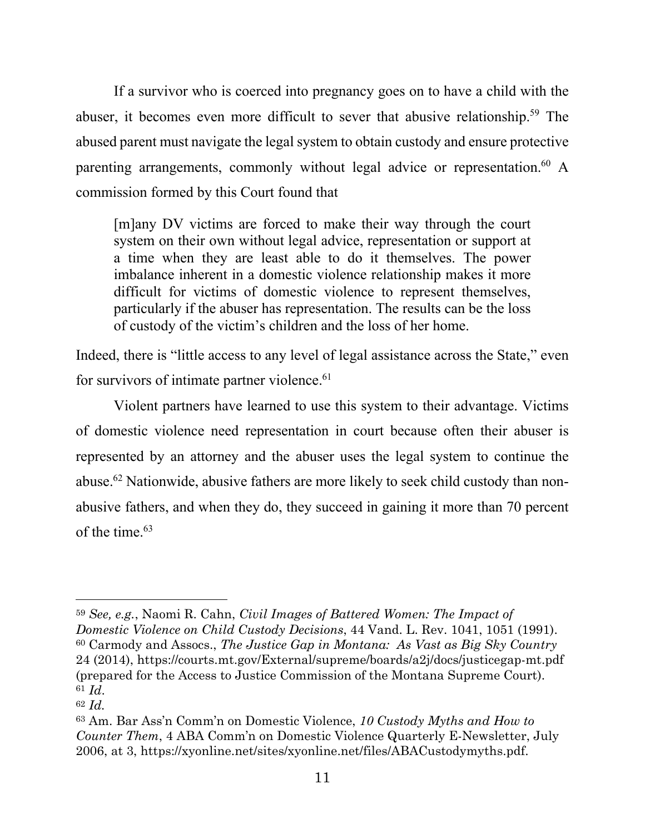If a survivor who is coerced into pregnancy goes on to have a child with the abuser, it becomes even more difficult to sever that abusive relationship.<sup>59</sup> The abused parent must navigate the legal system to obtain custody and ensure protective parenting arrangements, commonly without legal advice or representation.<sup>60</sup> A commission formed by this Court found that

[m]any DV victims are forced to make their way through the court system on their own without legal advice, representation or support at a time when they are least able to do it themselves. The power imbalance inherent in a domestic violence relationship makes it more difficult for victims of domestic violence to represent themselves, particularly if the abuser has representation. The results can be the loss of custody of the victim's children and the loss of her home.

Indeed, there is "little access to any level of legal assistance across the State," even for survivors of intimate partner violence.<sup>61</sup>

Violent partners have learned to use this system to their advantage. Victims of domestic violence need representation in court because often their abuser is represented by an attorney and the abuser uses the legal system to continue the abuse.<sup>62</sup> Nationwide, abusive fathers are more likely to seek child custody than nonabusive fathers, and when they do, they succeed in gaining it more than 70 percent of the time  $63$ 

<sup>59</sup> *See, e.g.*, Naomi R. Cahn, *Civil Images of Battered Women: The Impact of Domestic Violence on Child Custody Decisions*, 44 Vand. L. Rev. 1041, 1051 (1991). <sup>60</sup> Carmody and Assocs., *The Justice Gap in Montana: As Vast as Big Sky Country* 24 (2014), https://courts.mt.gov/External/supreme/boards/a2j/docs/justicegap-mt.pdf (prepared for the Access to Justice Commission of the Montana Supreme Court). <sup>61</sup> *Id*.

<sup>62</sup> *Id.*

<sup>63</sup> Am. Bar Ass'n Comm'n on Domestic Violence, *10 Custody Myths and How to Counter Them*, 4 ABA Comm'n on Domestic Violence Quarterly E-Newsletter, July 2006, at 3, https://xyonline.net/sites/xyonline.net/files/ABACustodymyths.pdf.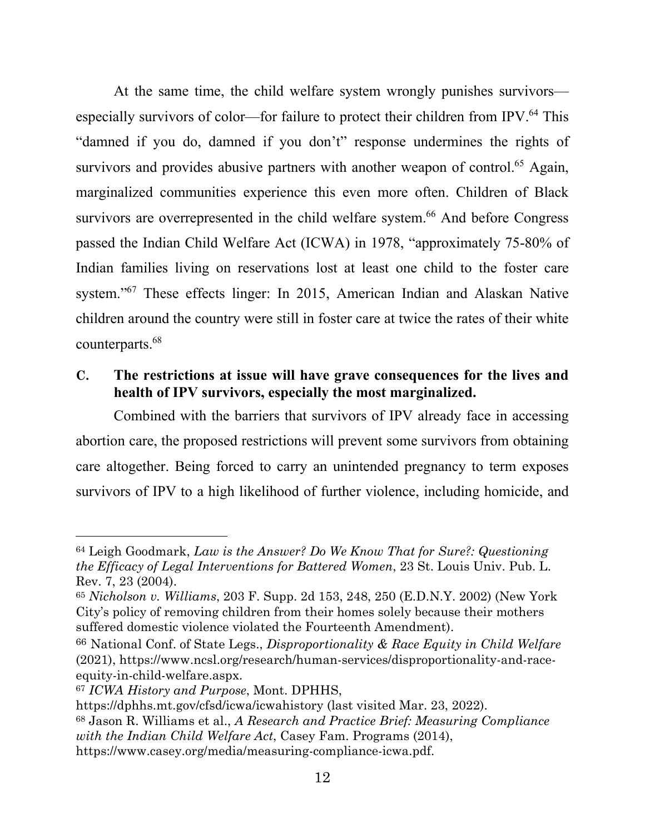At the same time, the child welfare system wrongly punishes survivors especially survivors of color—for failure to protect their children from IPV.<sup>64</sup> This "damned if you do, damned if you don't" response undermines the rights of survivors and provides abusive partners with another weapon of control.<sup>65</sup> Again, marginalized communities experience this even more often. Children of Black survivors are overrepresented in the child welfare system.<sup>66</sup> And before Congress passed the Indian Child Welfare Act (ICWA) in 1978, "approximately 75-80% of Indian families living on reservations lost at least one child to the foster care system."<sup>67</sup> These effects linger: In 2015, American Indian and Alaskan Native children around the country were still in foster care at twice the rates of their white counterparts.<sup>68</sup>

## <span id="page-22-0"></span>**C. The restrictions at issue will have grave consequences for the lives and health of IPV survivors, especially the most marginalized.**

Combined with the barriers that survivors of IPV already face in accessing abortion care, the proposed restrictions will prevent some survivors from obtaining care altogether. Being forced to carry an unintended pregnancy to term exposes survivors of IPV to a high likelihood of further violence, including homicide, and

<sup>64</sup> Leigh Goodmark, *Law is the Answer? Do We Know That for Sure?: Questioning the Efficacy of Legal Interventions for Battered Women*, 23 St. Louis Univ. Pub. L. Rev. 7, 23 (2004).

<sup>65</sup> *Nicholson v. Williams*, 203 F. Supp. 2d 153, 248, 250 (E.D.N.Y. 2002) (New York City's policy of removing children from their homes solely because their mothers suffered domestic violence violated the Fourteenth Amendment).

<sup>66</sup> National Conf. of State Legs., *Disproportionality & Race Equity in Child Welfare* (2021), https://www.ncsl.org/research/human-services/disproportionality-and-raceequity-in-child-welfare.aspx.

<sup>67</sup> *ICWA History and Purpose*, Mont. DPHHS,

https://dphhs.mt.gov/cfsd/icwa/icwahistory (last visited Mar. 23, 2022).

<sup>68</sup> Jason R. Williams et al., *A Research and Practice Brief: Measuring Compliance with the Indian Child Welfare Act*, Casey Fam. Programs (2014),

https://www.casey.org/media/measuring-compliance-icwa.pdf.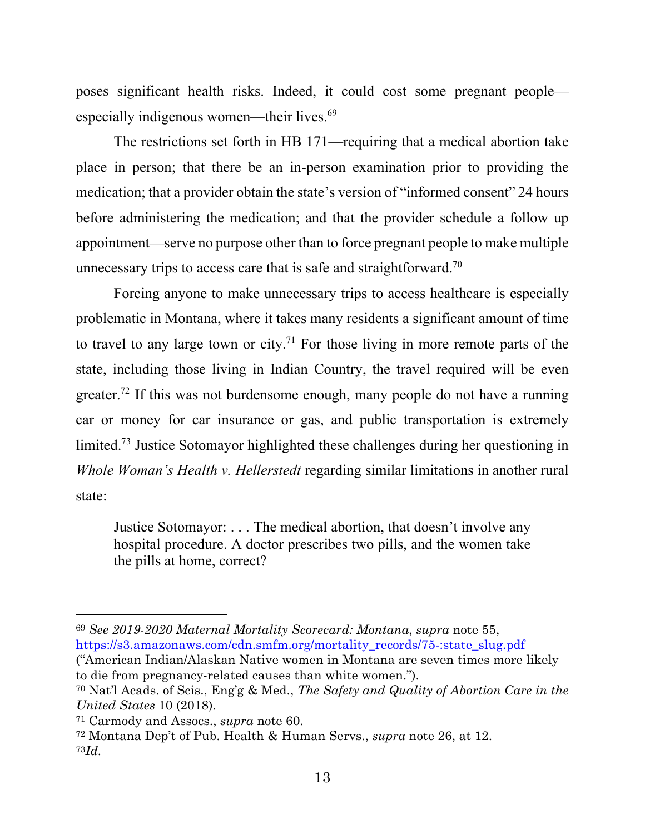poses significant health risks. Indeed, it could cost some pregnant people especially indigenous women—their lives.<sup>69</sup>

The restrictions set forth in HB 171—requiring that a medical abortion take place in person; that there be an in-person examination prior to providing the medication; that a provider obtain the state's version of "informed consent" 24 hours before administering the medication; and that the provider schedule a follow up appointment—serve no purpose other than to force pregnant people to make multiple unnecessary trips to access care that is safe and straightforward.<sup>70</sup>

Forcing anyone to make unnecessary trips to access healthcare is especially problematic in Montana, where it takes many residents a significant amount of time to travel to any large town or city.<sup>71</sup> For those living in more remote parts of the state, including those living in Indian Country, the travel required will be even greater.<sup>72</sup> If this was not burdensome enough, many people do not have a running car or money for car insurance or gas, and public transportation is extremely limited.<sup>73</sup> Justice Sotomayor highlighted these challenges during her questioning in *Whole Woman's Health v. Hellerstedt* regarding similar limitations in another rural state:

Justice Sotomayor: . . . The medical abortion, that doesn't involve any hospital procedure. A doctor prescribes two pills, and the women take the pills at home, correct?

<sup>69</sup> *See 2019-2020 Maternal Mortality Scorecard: Montana*, *supra* note 55, https://s3.amazonaws.com/cdn.smfm.org/mortality\_records/75-:state\_slug.pdf

<sup>(&</sup>quot;American Indian/Alaskan Native women in Montana are seven times more likely to die from pregnancy-related causes than white women.").

<sup>70</sup> Nat'l Acads. of Scis., Eng'g & Med., *The Safety and Quality of Abortion Care in the United States* 10 (2018).

<sup>71</sup> Carmody and Assocs., *supra* note 60.

<sup>72</sup> Montana Dep't of Pub. Health & Human Servs., *supra* note 26, at 12. 73*Id.*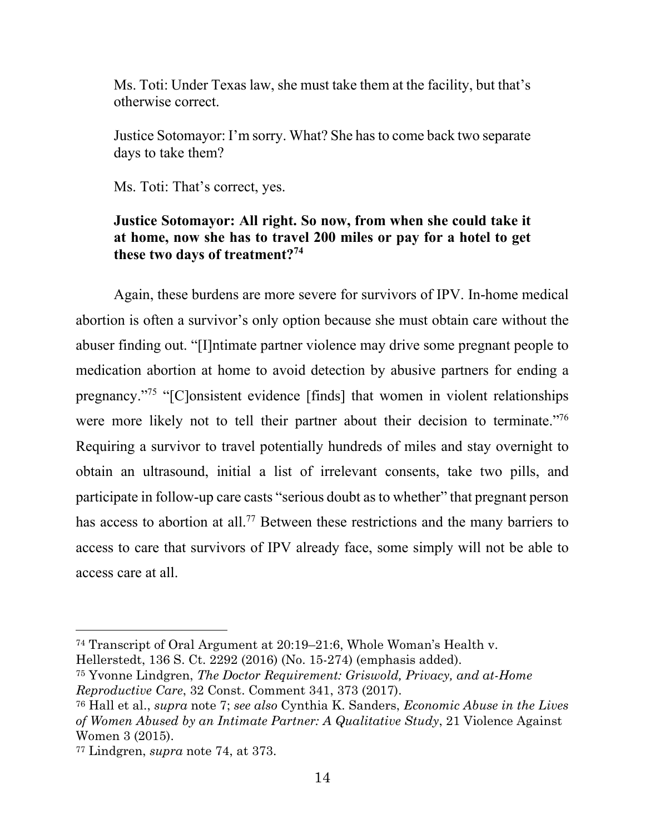Ms. Toti: Under Texas law, she must take them at the facility, but that's otherwise correct.

Justice Sotomayor: I'm sorry. What? She has to come back two separate days to take them?

Ms. Toti: That's correct, yes.

#### **Justice Sotomayor: All right. So now, from when she could take it at home, now she has to travel 200 miles or pay for a hotel to get these two days of treatment?<sup>74</sup>**

Again, these burdens are more severe for survivors of IPV. In-home medical abortion is often a survivor's only option because she must obtain care without the abuser finding out. "[I]ntimate partner violence may drive some pregnant people to medication abortion at home to avoid detection by abusive partners for ending a pregnancy."<sup>75</sup> "[C]onsistent evidence [finds] that women in violent relationships were more likely not to tell their partner about their decision to terminate."<sup>76</sup> Requiring a survivor to travel potentially hundreds of miles and stay overnight to obtain an ultrasound, initial a list of irrelevant consents, take two pills, and participate in follow-up care casts "serious doubt as to whether" that pregnant person has access to abortion at all.<sup>77</sup> Between these restrictions and the many barriers to access to care that survivors of IPV already face, some simply will not be able to access care at all.

<sup>74</sup> Transcript of Oral Argument at 20:19–21:6, Whole Woman's Health v. Hellerstedt, 136 S. Ct. 2292 (2016) (No. 15-274) (emphasis added).

<sup>75</sup> Yvonne Lindgren, *The Doctor Requirement: Griswold, Privacy, and at-Home Reproductive Care*, 32 Const. Comment 341, 373 (2017).

<sup>76</sup> Hall et al., *supra* note 7; *see also* Cynthia K. Sanders, *Economic Abuse in the Lives of Women Abused by an Intimate Partner: A Qualitative Study*, 21 Violence Against Women 3 (2015).

<sup>77</sup> Lindgren, *supra* note 74, at 373.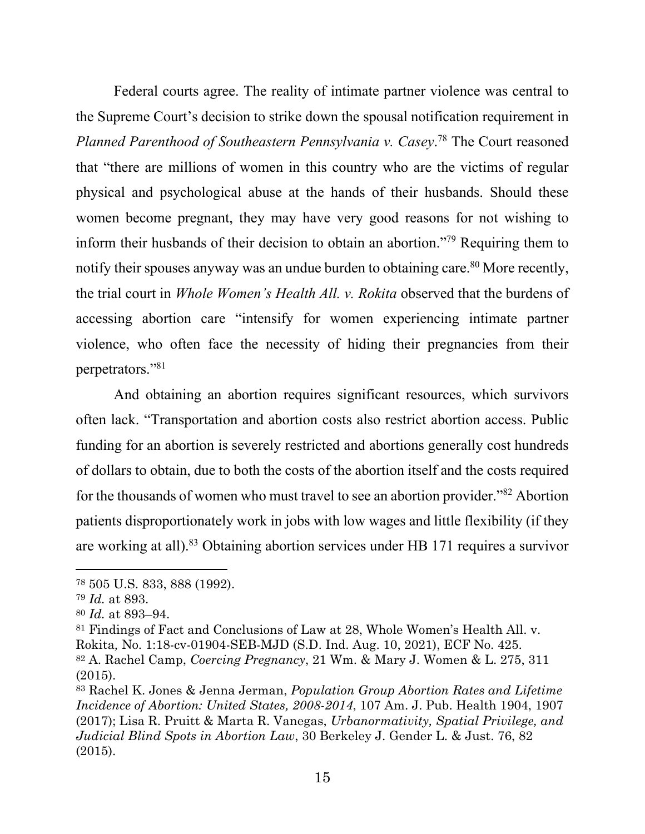Federal courts agree. The reality of intimate partner violence was central to the Supreme Court's decision to strike down the spousal notification requirement in *Planned Parenthood of Southeastern Pennsylvania v. Casey*. <sup>78</sup> The Court reasoned that "there are millions of women in this country who are the victims of regular physical and psychological abuse at the hands of their husbands. Should these women become pregnant, they may have very good reasons for not wishing to inform their husbands of their decision to obtain an abortion."<sup>79</sup> Requiring them to notify their spouses anyway was an undue burden to obtaining care.<sup>80</sup> More recently, the trial court in *Whole Women's Health All. v. Rokita* observed that the burdens of accessing abortion care "intensify for women experiencing intimate partner violence, who often face the necessity of hiding their pregnancies from their perpetrators."<sup>81</sup>

And obtaining an abortion requires significant resources, which survivors often lack. "Transportation and abortion costs also restrict abortion access. Public funding for an abortion is severely restricted and abortions generally cost hundreds of dollars to obtain, due to both the costs of the abortion itself and the costs required for the thousands of women who must travel to see an abortion provider."<sup>82</sup> Abortion patients disproportionately work in jobs with low wages and little flexibility (if they are working at all).<sup>83</sup> Obtaining abortion services under HB 171 requires a survivor

<sup>78</sup> 505 U.S. 833, 888 (1992).

<sup>79</sup> *Id.* at 893.

<sup>80</sup> *Id.* at 893–94.

<sup>81</sup> Findings of Fact and Conclusions of Law at 28, Whole Women's Health All. v. Rokita*,* No. 1:18-cv-01904-SEB-MJD (S.D. Ind. Aug. 10, 2021), ECF No. 425. <sup>82</sup> A. Rachel Camp, *Coercing Pregnancy*, 21 Wm. & Mary J. Women & L. 275, 311 (2015).

<sup>83</sup> Rachel K. Jones & Jenna Jerman, *Population Group Abortion Rates and Lifetime Incidence of Abortion: United States, 2008-2014*, 107 Am. J. Pub. Health 1904, 1907 (2017); Lisa R. Pruitt & Marta R. Vanegas, *Urbanormativity, Spatial Privilege, and Judicial Blind Spots in Abortion Law*, 30 Berkeley J. Gender L. & Just. 76, 82 (2015).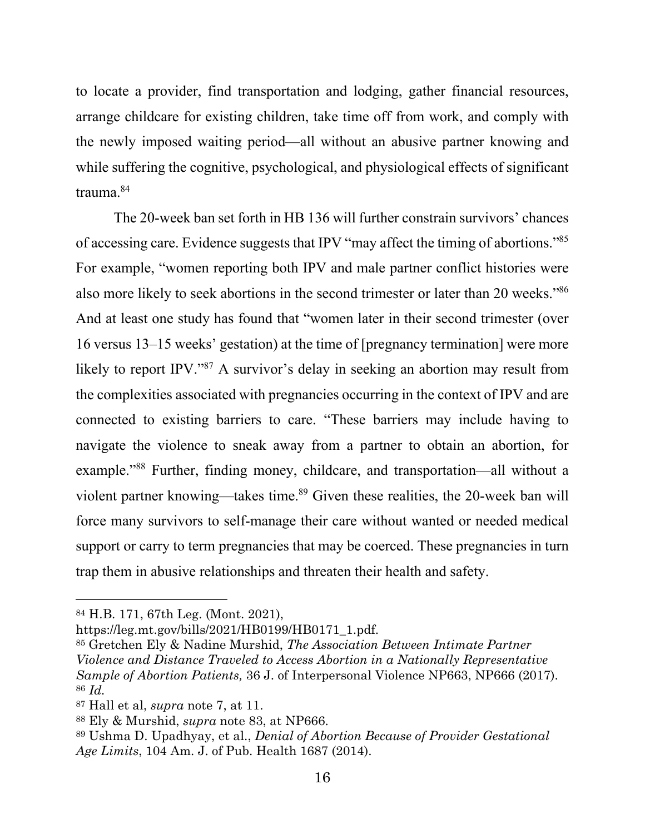to locate a provider, find transportation and lodging, gather financial resources, arrange childcare for existing children, take time off from work, and comply with the newly imposed waiting period—all without an abusive partner knowing and while suffering the cognitive, psychological, and physiological effects of significant trauma.<sup>84</sup>

The 20-week ban set forth in HB 136 will further constrain survivors' chances of accessing care. Evidence suggests that IPV "may affect the timing of abortions."<sup>85</sup> For example, "women reporting both IPV and male partner conflict histories were also more likely to seek abortions in the second trimester or later than 20 weeks."<sup>86</sup> And at least one study has found that "women later in their second trimester (over 16 versus 13–15 weeks' gestation) at the time of [pregnancy termination] were more likely to report IPV."<sup>87</sup> A survivor's delay in seeking an abortion may result from the complexities associated with pregnancies occurring in the context of IPV and are connected to existing barriers to care. "These barriers may include having to navigate the violence to sneak away from a partner to obtain an abortion, for example."<sup>88</sup> Further, finding money, childcare, and transportation—all without a violent partner knowing—takes time. <sup>89</sup> Given these realities, the 20-week ban will force many survivors to self-manage their care without wanted or needed medical support or carry to term pregnancies that may be coerced. These pregnancies in turn trap them in abusive relationships and threaten their health and safety.

https://leg.mt.gov/bills/2021/HB0199/HB0171\_1.pdf.

<sup>85</sup> Gretchen Ely & Nadine Murshid, *The Association Between Intimate Partner Violence and Distance Traveled to Access Abortion in a Nationally Representative Sample of Abortion Patients,* 36 J. of Interpersonal Violence NP663, NP666 (2017). <sup>86</sup> *Id.*

<sup>84</sup> H.B. 171, 67th Leg. (Mont. 2021),

<sup>87</sup> Hall et al, *supra* note 7, at 11.

<sup>88</sup> Ely & Murshid, *supra* note 83, at NP666.

<sup>89</sup> Ushma D. Upadhyay, et al., *Denial of Abortion Because of Provider Gestational Age Limits*, 104 Am. J. of Pub. Health 1687 (2014).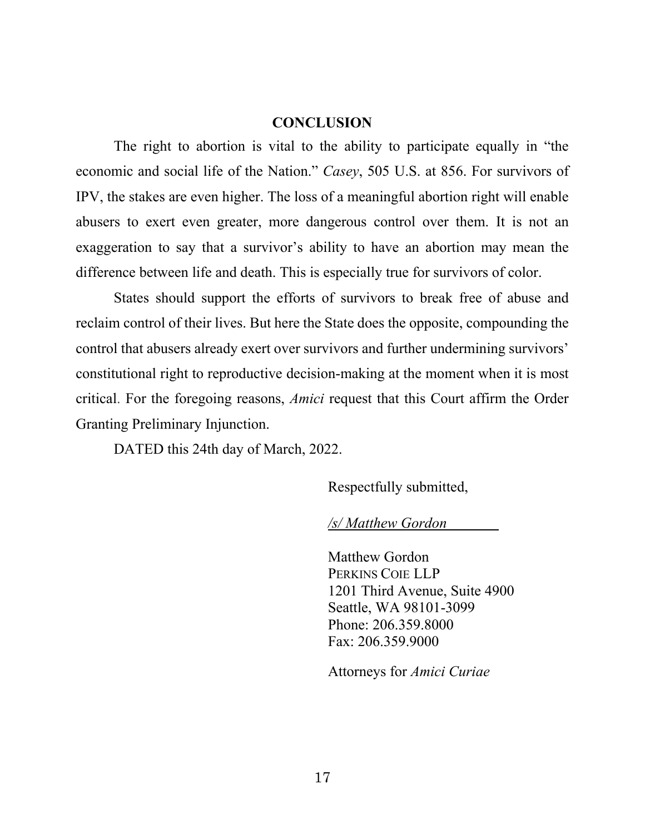#### **CONCLUSION**

<span id="page-27-0"></span>The right to abortion is vital to the ability to participate equally in "the economic and social life of the Nation." *Casey*, 505 U.S. at 856. For survivors of IPV, the stakes are even higher. The loss of a meaningful abortion right will enable abusers to exert even greater, more dangerous control over them. It is not an exaggeration to say that a survivor's ability to have an abortion may mean the difference between life and death. This is especially true for survivors of color.

States should support the efforts of survivors to break free of abuse and reclaim control of their lives. But here the State does the opposite, compounding the control that abusers already exert over survivors and further undermining survivors' constitutional right to reproductive decision-making at the moment when it is most critical. For the foregoing reasons, *Amici* request that this Court affirm the Order Granting Preliminary Injunction.

DATED this 24th day of March, 2022.

Respectfully submitted,

*/s/ Matthew Gordon*

Matthew Gordon PERKINS COIE LLP 1201 Third Avenue, Suite 4900 Seattle, WA 98101-3099 Phone: 206.359.8000 Fax: 206.359.9000

Attorneys for *Amici Curiae*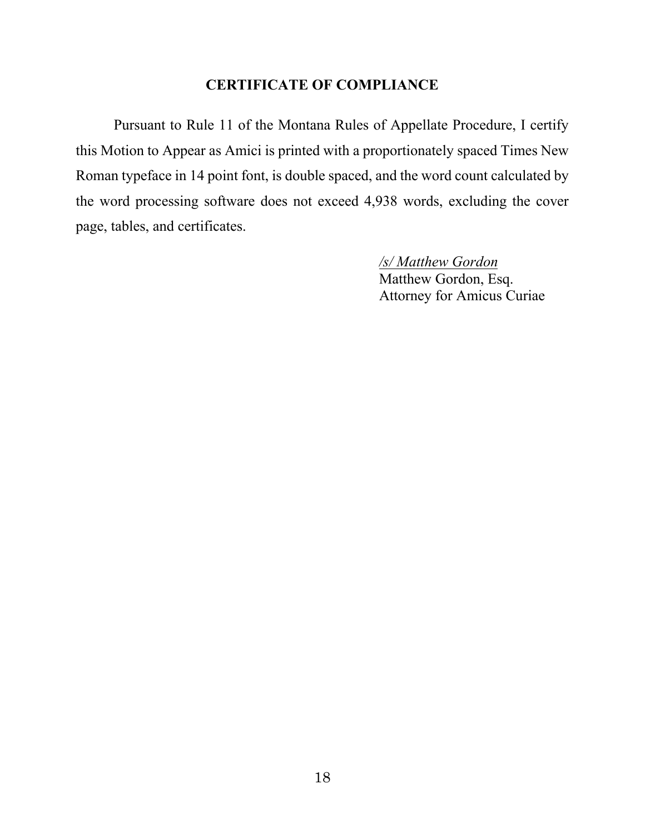## **CERTIFICATE OF COMPLIANCE**

Pursuant to Rule 11 of the Montana Rules of Appellate Procedure, I certify this Motion to Appear as Amici is printed with a proportionately spaced Times New Roman typeface in 14 point font, is double spaced, and the word count calculated by the word processing software does not exceed 4,938 words, excluding the cover page, tables, and certificates.

*/s/ Matthew Gordon*

Matthew Gordon, Esq. Attorney for Amicus Curiae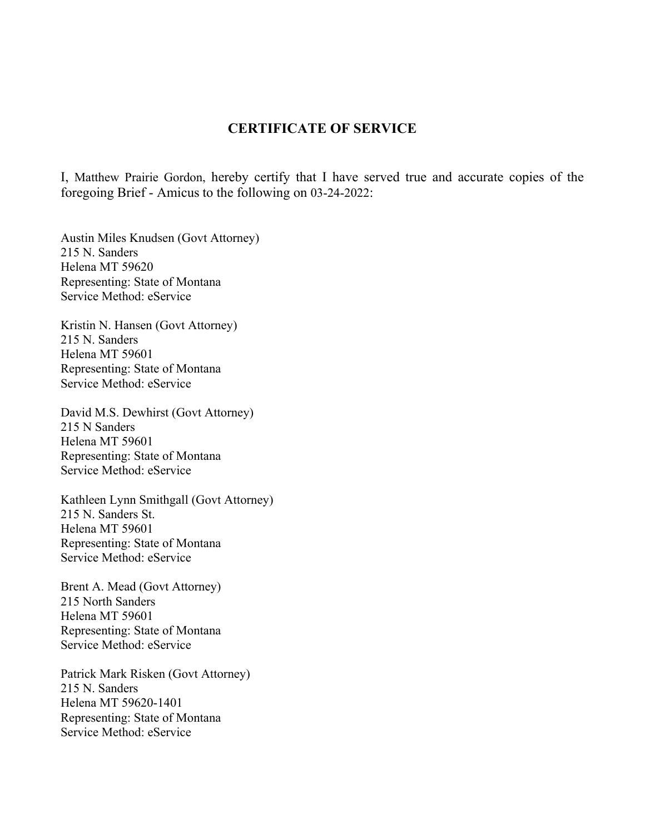#### **CERTIFICATE OF SERVICE**

I, Matthew Prairie Gordon, hereby certify that I have served true and accurate copies of the foregoing Brief - Amicus to the following on 03-24-2022:

Austin Miles Knudsen (Govt Attorney) 215 N. Sanders Helena MT 59620 Representing: State of Montana Service Method: eService

Kristin N. Hansen (Govt Attorney) 215 N. Sanders Helena MT 59601 Representing: State of Montana Service Method: eService

David M.S. Dewhirst (Govt Attorney) 215 N Sanders Helena MT 59601 Representing: State of Montana Service Method: eService

Kathleen Lynn Smithgall (Govt Attorney) 215 N. Sanders St. Helena MT 59601 Representing: State of Montana Service Method: eService

Brent A. Mead (Govt Attorney) 215 North Sanders Helena MT 59601 Representing: State of Montana Service Method: eService

Patrick Mark Risken (Govt Attorney) 215 N. Sanders Helena MT 59620-1401 Representing: State of Montana Service Method: eService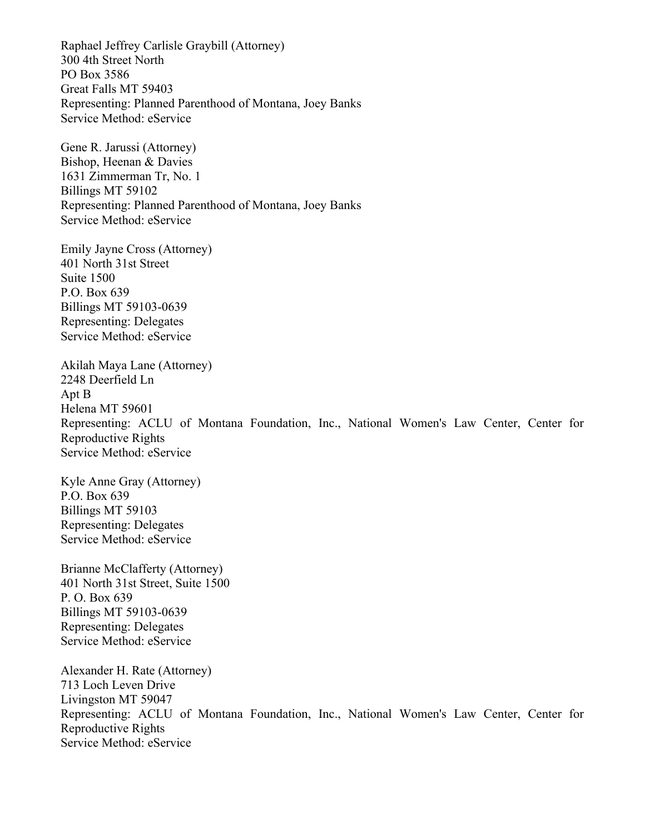Raphael Jeffrey Carlisle Graybill (Attorney) 300 4th Street North PO Box 3586 Great Falls MT 59403 Representing: Planned Parenthood of Montana, Joey Banks Service Method: eService

Gene R. Jarussi (Attorney) Bishop, Heenan & Davies 1631 Zimmerman Tr, No. 1 Billings MT 59102 Representing: Planned Parenthood of Montana, Joey Banks Service Method: eService

Emily Jayne Cross (Attorney) 401 North 31st Street Suite 1500 P.O. Box 639 Billings MT 59103-0639 Representing: Delegates Service Method: eService

Akilah Maya Lane (Attorney) 2248 Deerfield Ln Apt B Helena MT 59601 Representing: ACLU of Montana Foundation, Inc., National Women's Law Center, Center for Reproductive Rights Service Method: eService

Kyle Anne Gray (Attorney) P.O. Box 639 Billings MT 59103 Representing: Delegates Service Method: eService

Brianne McClafferty (Attorney) 401 North 31st Street, Suite 1500 P. O. Box 639 Billings MT 59103-0639 Representing: Delegates Service Method: eService

Alexander H. Rate (Attorney) 713 Loch Leven Drive Livingston MT 59047 Representing: ACLU of Montana Foundation, Inc., National Women's Law Center, Center for Reproductive Rights Service Method: eService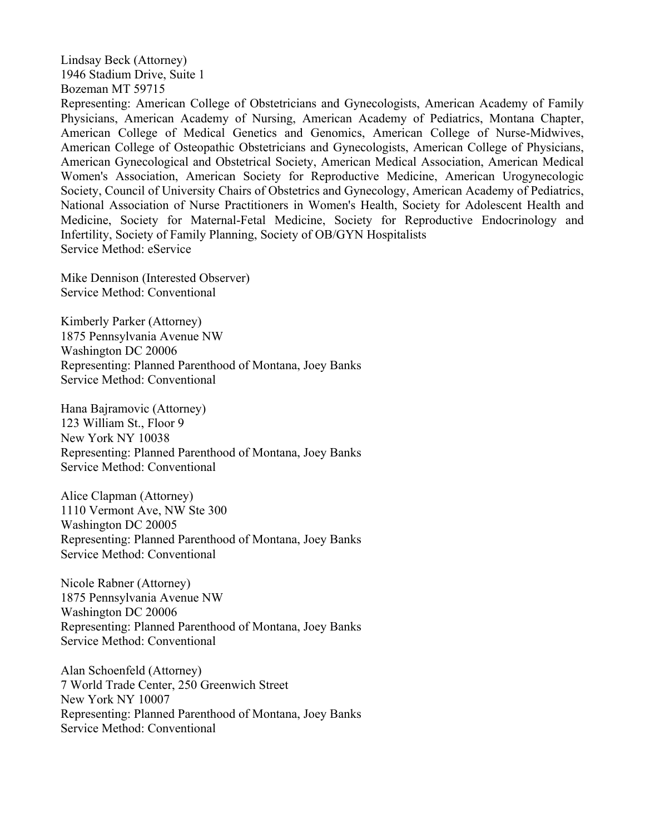Lindsay Beck (Attorney) 1946 Stadium Drive, Suite 1 Bozeman MT 59715

Representing: American College of Obstetricians and Gynecologists, American Academy of Family Physicians, American Academy of Nursing, American Academy of Pediatrics, Montana Chapter, American College of Medical Genetics and Genomics, American College of Nurse-Midwives, American College of Osteopathic Obstetricians and Gynecologists, American College of Physicians, American Gynecological and Obstetrical Society, American Medical Association, American Medical Women's Association, American Society for Reproductive Medicine, American Urogynecologic Society, Council of University Chairs of Obstetrics and Gynecology, American Academy of Pediatrics, National Association of Nurse Practitioners in Women's Health, Society for Adolescent Health and Medicine, Society for Maternal-Fetal Medicine, Society for Reproductive Endocrinology and Infertility, Society of Family Planning, Society of OB/GYN Hospitalists Service Method: eService

Mike Dennison (Interested Observer) Service Method: Conventional

Kimberly Parker (Attorney) 1875 Pennsylvania Avenue NW Washington DC 20006 Representing: Planned Parenthood of Montana, Joey Banks Service Method: Conventional

Hana Bajramovic (Attorney) 123 William St., Floor 9 New York NY 10038 Representing: Planned Parenthood of Montana, Joey Banks Service Method: Conventional

Alice Clapman (Attorney) 1110 Vermont Ave, NW Ste 300 Washington DC 20005 Representing: Planned Parenthood of Montana, Joey Banks Service Method: Conventional

Nicole Rabner (Attorney) 1875 Pennsylvania Avenue NW Washington DC 20006 Representing: Planned Parenthood of Montana, Joey Banks Service Method: Conventional

Alan Schoenfeld (Attorney) 7 World Trade Center, 250 Greenwich Street New York NY 10007 Representing: Planned Parenthood of Montana, Joey Banks Service Method: Conventional